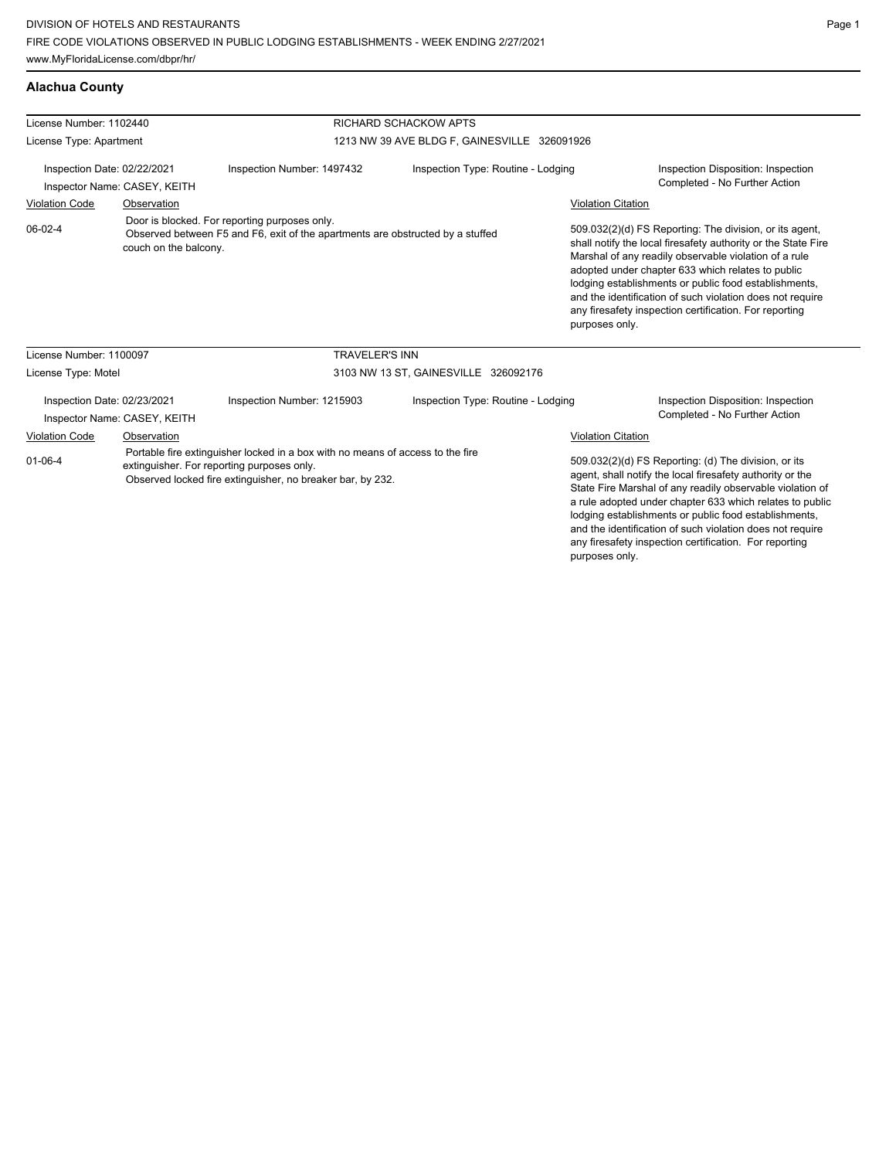# **Alachua County**

| License Number: 1102440                                                                                                                                                                                     |                       |                                                                                                                                                   | RICHARD SCHACKOW APTS              |                           |                                                                                                                                                                                                                                                                                                                                                                                                                            |  |
|-------------------------------------------------------------------------------------------------------------------------------------------------------------------------------------------------------------|-----------------------|---------------------------------------------------------------------------------------------------------------------------------------------------|------------------------------------|---------------------------|----------------------------------------------------------------------------------------------------------------------------------------------------------------------------------------------------------------------------------------------------------------------------------------------------------------------------------------------------------------------------------------------------------------------------|--|
| License Type: Apartment                                                                                                                                                                                     |                       | 1213 NW 39 AVE BLDG F, GAINESVILLE 326091926                                                                                                      |                                    |                           |                                                                                                                                                                                                                                                                                                                                                                                                                            |  |
| Inspection Date: 02/22/2021<br>Inspector Name: CASEY, KEITH                                                                                                                                                 |                       | Inspection Number: 1497432                                                                                                                        | Inspection Type: Routine - Lodging |                           | Inspection Disposition: Inspection<br>Completed - No Further Action                                                                                                                                                                                                                                                                                                                                                        |  |
| <b>Violation Code</b><br>Observation                                                                                                                                                                        |                       |                                                                                                                                                   |                                    | <b>Violation Citation</b> |                                                                                                                                                                                                                                                                                                                                                                                                                            |  |
| 06-02-4                                                                                                                                                                                                     | couch on the balcony. | Door is blocked. For reporting purposes only.<br>Observed between F5 and F6, exit of the apartments are obstructed by a stuffed<br>purposes only. |                                    |                           | 509.032(2)(d) FS Reporting: The division, or its agent,<br>shall notify the local firesafety authority or the State Fire<br>Marshal of any readily observable violation of a rule<br>adopted under chapter 633 which relates to public<br>lodging establishments or public food establishments,<br>and the identification of such violation does not require<br>any firesafety inspection certification. For reporting     |  |
| License Number: 1100097                                                                                                                                                                                     |                       | <b>TRAVELER'S INN</b>                                                                                                                             |                                    |                           |                                                                                                                                                                                                                                                                                                                                                                                                                            |  |
| License Type: Motel                                                                                                                                                                                         |                       | 3103 NW 13 ST, GAINESVILLE 326092176                                                                                                              |                                    |                           |                                                                                                                                                                                                                                                                                                                                                                                                                            |  |
| Inspection Date: 02/23/2021<br>Inspector Name: CASEY, KEITH                                                                                                                                                 |                       | Inspection Number: 1215903                                                                                                                        | Inspection Type: Routine - Lodging |                           | Inspection Disposition: Inspection<br>Completed - No Further Action                                                                                                                                                                                                                                                                                                                                                        |  |
| <b>Violation Code</b>                                                                                                                                                                                       | Observation           |                                                                                                                                                   |                                    | <b>Violation Citation</b> |                                                                                                                                                                                                                                                                                                                                                                                                                            |  |
| Portable fire extinguisher locked in a box with no means of access to the fire<br>$01 - 06 - 4$<br>extinguisher. For reporting purposes only.<br>Observed locked fire extinguisher, no breaker bar, by 232. |                       |                                                                                                                                                   |                                    |                           | 509.032(2)(d) FS Reporting: (d) The division, or its<br>agent, shall notify the local firesafety authority or the<br>State Fire Marshal of any readily observable violation of<br>a rule adopted under chapter 633 which relates to public<br>lodging establishments or public food establishments,<br>and the identification of such violation does not require<br>any firesafety inspection certification. For reporting |  |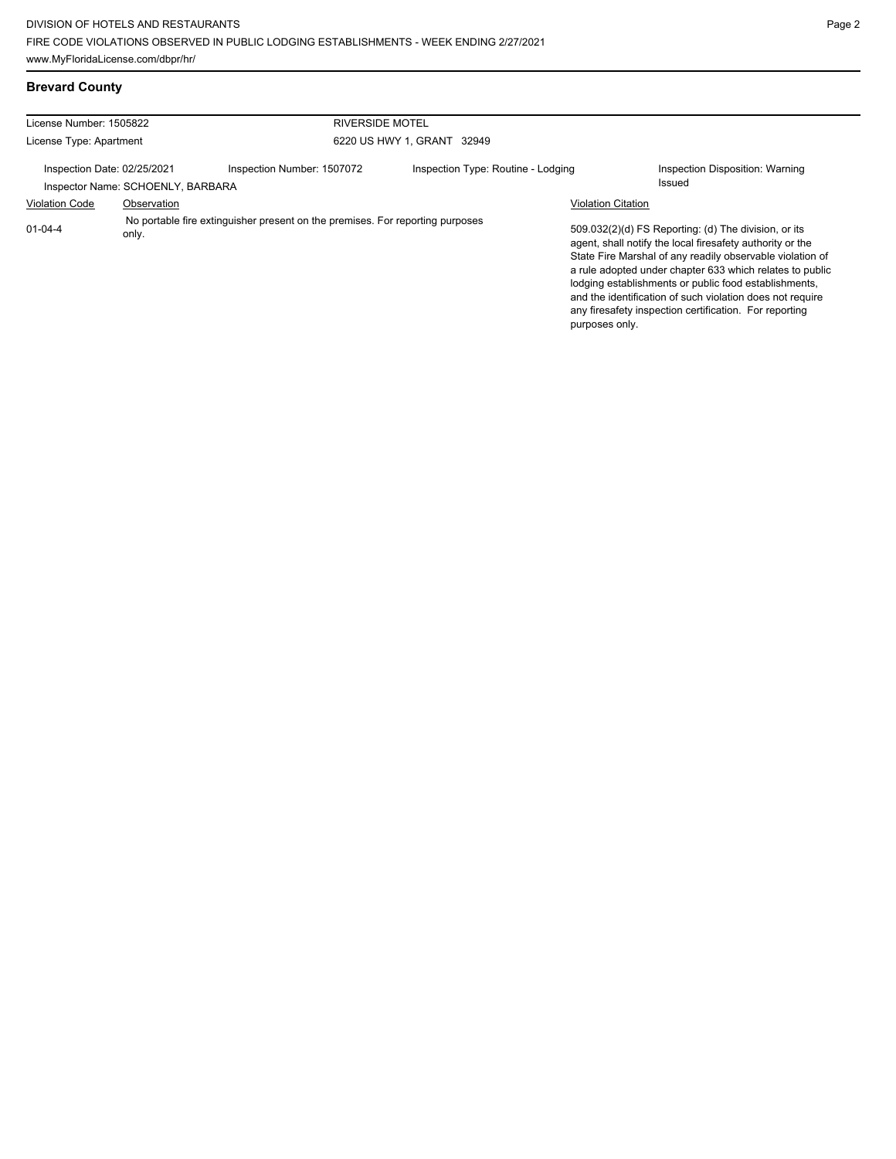| License Number: 1505822                                          |             | <b>RIVERSIDE MOTEL</b>                                                        |                                    |                           |                                                                                                                                                                                                                                                                                                                                                                                                                            |
|------------------------------------------------------------------|-------------|-------------------------------------------------------------------------------|------------------------------------|---------------------------|----------------------------------------------------------------------------------------------------------------------------------------------------------------------------------------------------------------------------------------------------------------------------------------------------------------------------------------------------------------------------------------------------------------------------|
| License Type: Apartment                                          |             |                                                                               | 6220 US HWY 1, GRANT 32949         |                           |                                                                                                                                                                                                                                                                                                                                                                                                                            |
| Inspection Date: 02/25/2021<br>Inspector Name: SCHOENLY, BARBARA |             | Inspection Number: 1507072                                                    | Inspection Type: Routine - Lodging |                           | Inspection Disposition: Warning<br>Issued                                                                                                                                                                                                                                                                                                                                                                                  |
| <b>Violation Code</b>                                            | Observation |                                                                               |                                    | <b>Violation Citation</b> |                                                                                                                                                                                                                                                                                                                                                                                                                            |
| $01 - 04 - 4$                                                    | only.       | No portable fire extinguisher present on the premises. For reporting purposes |                                    | purposes only.            | 509.032(2)(d) FS Reporting: (d) The division, or its<br>agent, shall notify the local firesafety authority or the<br>State Fire Marshal of any readily observable violation of<br>a rule adopted under chapter 633 which relates to public<br>lodging establishments or public food establishments,<br>and the identification of such violation does not require<br>any firesafety inspection certification. For reporting |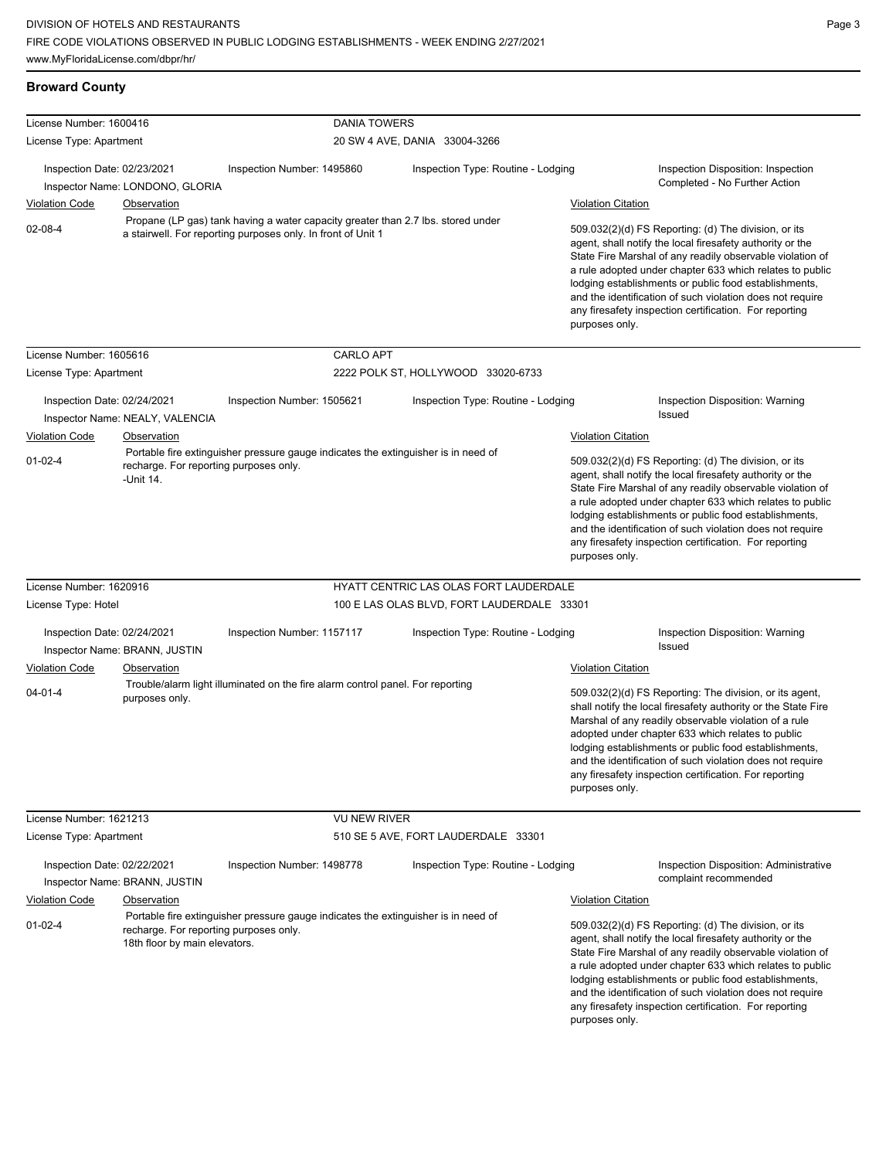# **Broward County**

| License Number: 1600416<br>License Type: Apartment |                                                                         | <b>DANIA TOWERS</b>                                                                                                                              | 20 SW 4 AVE, DANIA 33004-3266              |                           |                                                                                                                                                                                                                                                                                                                                                                                                                            |
|----------------------------------------------------|-------------------------------------------------------------------------|--------------------------------------------------------------------------------------------------------------------------------------------------|--------------------------------------------|---------------------------|----------------------------------------------------------------------------------------------------------------------------------------------------------------------------------------------------------------------------------------------------------------------------------------------------------------------------------------------------------------------------------------------------------------------------|
|                                                    |                                                                         |                                                                                                                                                  |                                            |                           |                                                                                                                                                                                                                                                                                                                                                                                                                            |
| Inspection Date: 02/23/2021                        | Inspector Name: LONDONO, GLORIA                                         | Inspection Number: 1495860                                                                                                                       | Inspection Type: Routine - Lodging         |                           | Inspection Disposition: Inspection<br>Completed - No Further Action                                                                                                                                                                                                                                                                                                                                                        |
| <b>Violation Code</b>                              | <b>Observation</b>                                                      |                                                                                                                                                  |                                            | <b>Violation Citation</b> |                                                                                                                                                                                                                                                                                                                                                                                                                            |
| 02-08-4                                            |                                                                         | Propane (LP gas) tank having a water capacity greater than 2.7 lbs. stored under<br>a stairwell. For reporting purposes only. In front of Unit 1 |                                            | purposes only.            | 509.032(2)(d) FS Reporting: (d) The division, or its<br>agent, shall notify the local firesafety authority or the<br>State Fire Marshal of any readily observable violation of<br>a rule adopted under chapter 633 which relates to public<br>lodging establishments or public food establishments,<br>and the identification of such violation does not require<br>any firesafety inspection certification. For reporting |
| License Number: 1605616                            |                                                                         | <b>CARLO APT</b>                                                                                                                                 |                                            |                           |                                                                                                                                                                                                                                                                                                                                                                                                                            |
| License Type: Apartment                            |                                                                         |                                                                                                                                                  | 2222 POLK ST, HOLLYWOOD 33020-6733         |                           |                                                                                                                                                                                                                                                                                                                                                                                                                            |
| Inspection Date: 02/24/2021                        | Inspector Name: NEALY, VALENCIA                                         | Inspection Number: 1505621                                                                                                                       | Inspection Type: Routine - Lodging         | Issued                    | Inspection Disposition: Warning                                                                                                                                                                                                                                                                                                                                                                                            |
| <b>Violation Code</b>                              | <b>Observation</b>                                                      |                                                                                                                                                  |                                            | <b>Violation Citation</b> |                                                                                                                                                                                                                                                                                                                                                                                                                            |
| $01 - 02 - 4$                                      | recharge. For reporting purposes only.<br>-Unit 14.                     | Portable fire extinguisher pressure gauge indicates the extinguisher is in need of                                                               |                                            | purposes only.            | 509.032(2)(d) FS Reporting: (d) The division, or its<br>agent, shall notify the local firesafety authority or the<br>State Fire Marshal of any readily observable violation of<br>a rule adopted under chapter 633 which relates to public<br>lodging establishments or public food establishments,<br>and the identification of such violation does not require<br>any firesafety inspection certification. For reporting |
| License Number: 1620916                            |                                                                         |                                                                                                                                                  | HYATT CENTRIC LAS OLAS FORT LAUDERDALE     |                           |                                                                                                                                                                                                                                                                                                                                                                                                                            |
| License Type: Hotel                                |                                                                         |                                                                                                                                                  | 100 E LAS OLAS BLVD, FORT LAUDERDALE 33301 |                           |                                                                                                                                                                                                                                                                                                                                                                                                                            |
| Inspection Date: 02/24/2021                        | Inspector Name: BRANN, JUSTIN                                           | Inspection Number: 1157117                                                                                                                       | Inspection Type: Routine - Lodging         | <b>Issued</b>             | Inspection Disposition: Warning                                                                                                                                                                                                                                                                                                                                                                                            |
| Violation Code                                     | Observation                                                             |                                                                                                                                                  |                                            | <b>Violation Citation</b> |                                                                                                                                                                                                                                                                                                                                                                                                                            |
| $04 - 01 - 4$                                      | purposes only.                                                          | Trouble/alarm light illuminated on the fire alarm control panel. For reporting                                                                   |                                            | purposes only.            | 509.032(2)(d) FS Reporting: The division, or its agent,<br>shall notify the local firesafety authority or the State Fire<br>Marshal of any readily observable violation of a rule<br>adopted under chapter 633 which relates to public<br>lodging establishments or public food establishments,<br>and the identification of such violation does not require<br>any firesafety inspection certification. For reporting     |
| License Number: 1621213                            |                                                                         | <b>VU NEW RIVER</b>                                                                                                                              |                                            |                           |                                                                                                                                                                                                                                                                                                                                                                                                                            |
| License Type: Apartment                            |                                                                         |                                                                                                                                                  | 510 SE 5 AVE, FORT LAUDERDALE 33301        |                           |                                                                                                                                                                                                                                                                                                                                                                                                                            |
| Inspection Date: 02/22/2021                        | Inspector Name: BRANN, JUSTIN                                           | Inspection Number: 1498778                                                                                                                       | Inspection Type: Routine - Lodging         |                           | Inspection Disposition: Administrative<br>complaint recommended                                                                                                                                                                                                                                                                                                                                                            |
| <b>Violation Code</b>                              | <b>Observation</b>                                                      |                                                                                                                                                  |                                            | <b>Violation Citation</b> |                                                                                                                                                                                                                                                                                                                                                                                                                            |
| $01 - 02 - 4$                                      | recharge. For reporting purposes only.<br>18th floor by main elevators. | Portable fire extinguisher pressure gauge indicates the extinguisher is in need of                                                               |                                            | purposes only.            | 509.032(2)(d) FS Reporting: (d) The division, or its<br>agent, shall notify the local firesafety authority or the<br>State Fire Marshal of any readily observable violation of<br>a rule adopted under chapter 633 which relates to public<br>lodging establishments or public food establishments,<br>and the identification of such violation does not require<br>any firesafety inspection certification. For reporting |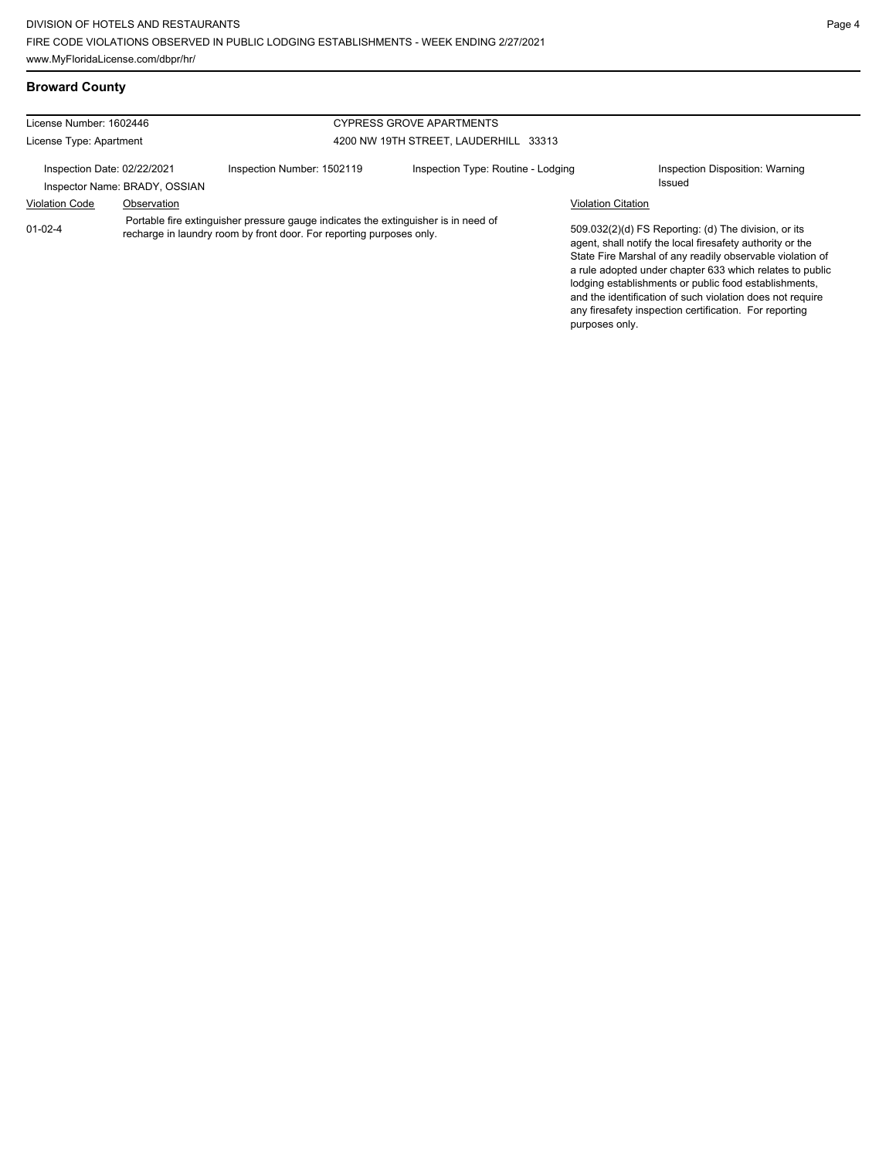| License Number: 1602446<br><b>CYPRESS GROVE APARTMENTS</b>   |             |                                                                                                                                                            |                                       |                           |                                                                                                                                                                                                                                                                                                                                                                  |
|--------------------------------------------------------------|-------------|------------------------------------------------------------------------------------------------------------------------------------------------------------|---------------------------------------|---------------------------|------------------------------------------------------------------------------------------------------------------------------------------------------------------------------------------------------------------------------------------------------------------------------------------------------------------------------------------------------------------|
| License Type: Apartment                                      |             |                                                                                                                                                            | 4200 NW 19TH STREET, LAUDERHILL 33313 |                           |                                                                                                                                                                                                                                                                                                                                                                  |
| Inspection Date: 02/22/2021<br>Inspector Name: BRADY, OSSIAN |             | Inspection Number: 1502119                                                                                                                                 | Inspection Type: Routine - Lodging    |                           | Inspection Disposition: Warning<br><b>Issued</b>                                                                                                                                                                                                                                                                                                                 |
| <b>Violation Code</b>                                        | Observation |                                                                                                                                                            |                                       | <b>Violation Citation</b> |                                                                                                                                                                                                                                                                                                                                                                  |
| $01 - 02 - 4$                                                |             | Portable fire extinguisher pressure gauge indicates the extinguisher is in need of<br>recharge in laundry room by front door. For reporting purposes only. |                                       |                           | 509.032(2)(d) FS Reporting: (d) The division, or its<br>agent, shall notify the local firesafety authority or the<br>State Fire Marshal of any readily observable violation of<br>a rule adopted under chapter 633 which relates to public<br>lodging establishments or public food establishments.<br>and the identification of such violation does not require |

any firesafety inspection certification. For reporting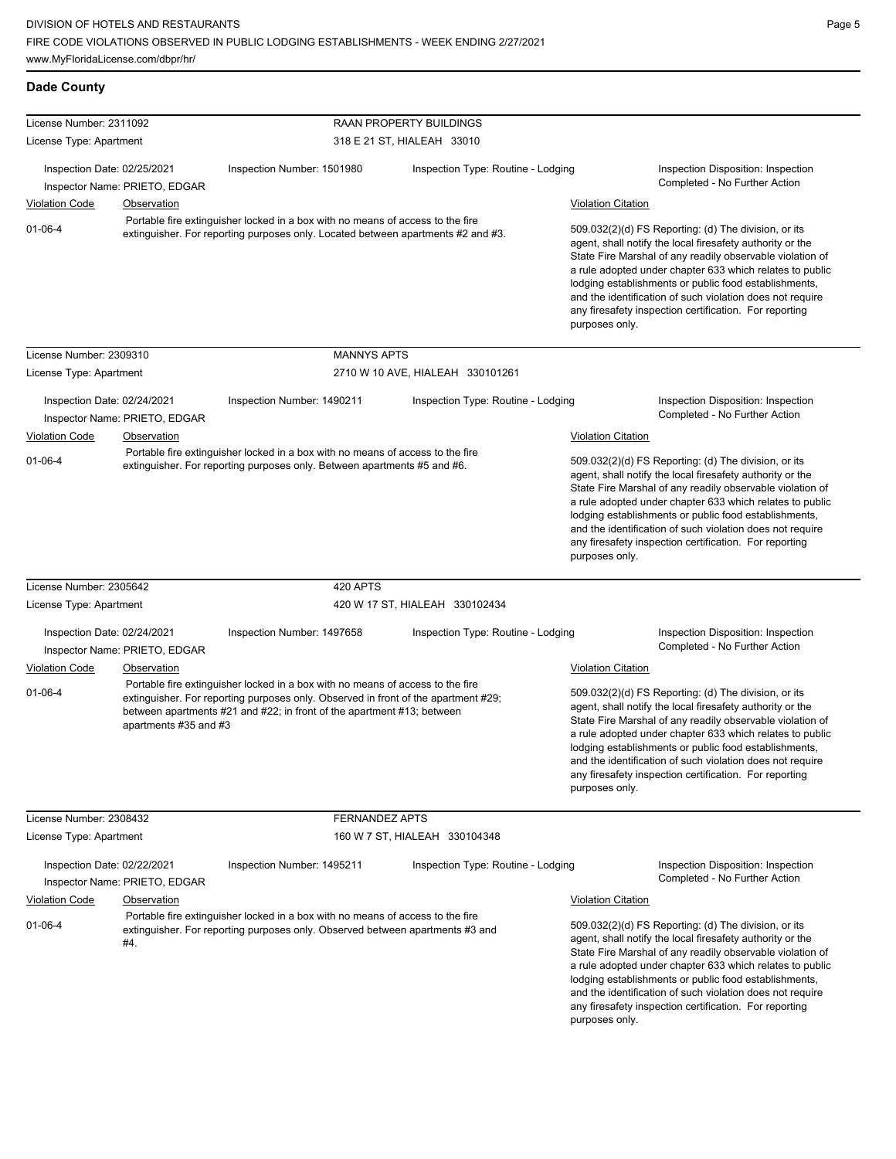| <b>Dade County</b>                                                                        |                                                                                                                                                                    |                                                                                                                                                                 |                                    |                                                                                                                                                                                                                                                                                                                                                                                                                                              |                                                                                                                                                                                                                                                                                                                                                                                                                                              |  |  |
|-------------------------------------------------------------------------------------------|--------------------------------------------------------------------------------------------------------------------------------------------------------------------|-----------------------------------------------------------------------------------------------------------------------------------------------------------------|------------------------------------|----------------------------------------------------------------------------------------------------------------------------------------------------------------------------------------------------------------------------------------------------------------------------------------------------------------------------------------------------------------------------------------------------------------------------------------------|----------------------------------------------------------------------------------------------------------------------------------------------------------------------------------------------------------------------------------------------------------------------------------------------------------------------------------------------------------------------------------------------------------------------------------------------|--|--|
| License Number: 2311092                                                                   |                                                                                                                                                                    |                                                                                                                                                                 | <b>RAAN PROPERTY BUILDINGS</b>     |                                                                                                                                                                                                                                                                                                                                                                                                                                              |                                                                                                                                                                                                                                                                                                                                                                                                                                              |  |  |
| License Type: Apartment                                                                   |                                                                                                                                                                    |                                                                                                                                                                 | 318 E 21 ST, HIALEAH 33010         |                                                                                                                                                                                                                                                                                                                                                                                                                                              |                                                                                                                                                                                                                                                                                                                                                                                                                                              |  |  |
| Inspection Date: 02/25/2021                                                               |                                                                                                                                                                    | Inspection Number: 1501980                                                                                                                                      | Inspection Type: Routine - Lodging |                                                                                                                                                                                                                                                                                                                                                                                                                                              | Inspection Disposition: Inspection                                                                                                                                                                                                                                                                                                                                                                                                           |  |  |
| Inspector Name: PRIETO, EDGAR                                                             |                                                                                                                                                                    |                                                                                                                                                                 |                                    |                                                                                                                                                                                                                                                                                                                                                                                                                                              | Completed - No Further Action                                                                                                                                                                                                                                                                                                                                                                                                                |  |  |
| <b>Violation Code</b>                                                                     | Observation                                                                                                                                                        |                                                                                                                                                                 |                                    | <b>Violation Citation</b>                                                                                                                                                                                                                                                                                                                                                                                                                    |                                                                                                                                                                                                                                                                                                                                                                                                                                              |  |  |
| $01 - 06 - 4$                                                                             | Portable fire extinguisher locked in a box with no means of access to the fire<br>extinguisher. For reporting purposes only. Located between apartments #2 and #3. |                                                                                                                                                                 |                                    | 509.032(2)(d) FS Reporting: (d) The division, or its<br>agent, shall notify the local firesafety authority or the<br>State Fire Marshal of any readily observable violation of<br>a rule adopted under chapter 633 which relates to public<br>lodging establishments or public food establishments,<br>and the identification of such violation does not require<br>any firesafety inspection certification. For reporting<br>purposes only. |                                                                                                                                                                                                                                                                                                                                                                                                                                              |  |  |
| License Number: 2309310                                                                   |                                                                                                                                                                    | <b>MANNYS APTS</b>                                                                                                                                              |                                    |                                                                                                                                                                                                                                                                                                                                                                                                                                              |                                                                                                                                                                                                                                                                                                                                                                                                                                              |  |  |
| License Type: Apartment                                                                   |                                                                                                                                                                    |                                                                                                                                                                 | 2710 W 10 AVE, HIALEAH 330101261   |                                                                                                                                                                                                                                                                                                                                                                                                                                              |                                                                                                                                                                                                                                                                                                                                                                                                                                              |  |  |
|                                                                                           |                                                                                                                                                                    |                                                                                                                                                                 |                                    |                                                                                                                                                                                                                                                                                                                                                                                                                                              |                                                                                                                                                                                                                                                                                                                                                                                                                                              |  |  |
| Inspection Date: 02/24/2021                                                               |                                                                                                                                                                    | Inspection Number: 1490211                                                                                                                                      | Inspection Type: Routine - Lodging |                                                                                                                                                                                                                                                                                                                                                                                                                                              | Inspection Disposition: Inspection<br>Completed - No Further Action                                                                                                                                                                                                                                                                                                                                                                          |  |  |
|                                                                                           | Inspector Name: PRIETO, EDGAR                                                                                                                                      |                                                                                                                                                                 |                                    |                                                                                                                                                                                                                                                                                                                                                                                                                                              |                                                                                                                                                                                                                                                                                                                                                                                                                                              |  |  |
| <b>Violation Code</b>                                                                     | Observation                                                                                                                                                        | Portable fire extinguisher locked in a box with no means of access to the fire                                                                                  |                                    | <b>Violation Citation</b>                                                                                                                                                                                                                                                                                                                                                                                                                    |                                                                                                                                                                                                                                                                                                                                                                                                                                              |  |  |
| $01 - 06 - 4$<br>extinguisher. For reporting purposes only. Between apartments #5 and #6. |                                                                                                                                                                    |                                                                                                                                                                 |                                    |                                                                                                                                                                                                                                                                                                                                                                                                                                              | 509.032(2)(d) FS Reporting: (d) The division, or its<br>agent, shall notify the local firesafety authority or the<br>State Fire Marshal of any readily observable violation of<br>a rule adopted under chapter 633 which relates to public<br>lodging establishments or public food establishments,<br>and the identification of such violation does not require<br>any firesafety inspection certification. For reporting<br>purposes only. |  |  |
| License Number: 2305642                                                                   |                                                                                                                                                                    | 420 APTS                                                                                                                                                        |                                    |                                                                                                                                                                                                                                                                                                                                                                                                                                              |                                                                                                                                                                                                                                                                                                                                                                                                                                              |  |  |
| License Type: Apartment                                                                   |                                                                                                                                                                    |                                                                                                                                                                 | 420 W 17 ST, HIALEAH 330102434     |                                                                                                                                                                                                                                                                                                                                                                                                                                              |                                                                                                                                                                                                                                                                                                                                                                                                                                              |  |  |
| Inspection Date: 02/24/2021                                                               |                                                                                                                                                                    | Inspection Number: 1497658                                                                                                                                      | Inspection Type: Routine - Lodging |                                                                                                                                                                                                                                                                                                                                                                                                                                              | Inspection Disposition: Inspection<br>Completed - No Further Action                                                                                                                                                                                                                                                                                                                                                                          |  |  |
|                                                                                           | Inspector Name: PRIETO, EDGAR                                                                                                                                      |                                                                                                                                                                 |                                    |                                                                                                                                                                                                                                                                                                                                                                                                                                              |                                                                                                                                                                                                                                                                                                                                                                                                                                              |  |  |
| <b>Violation Code</b>                                                                     | Observation                                                                                                                                                        | Portable fire extinguisher locked in a box with no means of access to the fire                                                                                  |                                    | <b>Violation Citation</b>                                                                                                                                                                                                                                                                                                                                                                                                                    |                                                                                                                                                                                                                                                                                                                                                                                                                                              |  |  |
| $01 - 06 - 4$                                                                             | apartments #35 and #3                                                                                                                                              | extinguisher. For reporting purposes only. Observed in front of the apartment #29;<br>between apartments #21 and #22; in front of the apartment #13; between    |                                    | purposes only.                                                                                                                                                                                                                                                                                                                                                                                                                               | 509.032(2)(d) FS Reporting: (d) The division, or its<br>agent, shall notify the local firesafety authority or the<br>State Fire Marshal of any readily observable violation of<br>a rule adopted under chapter 633 which relates to public<br>lodging establishments or public food establishments,<br>and the identification of such violation does not require<br>any firesafety inspection certification. For reporting                   |  |  |
| License Number: 2308432                                                                   |                                                                                                                                                                    | <b>FERNANDEZ APTS</b>                                                                                                                                           |                                    |                                                                                                                                                                                                                                                                                                                                                                                                                                              |                                                                                                                                                                                                                                                                                                                                                                                                                                              |  |  |
| License Type: Apartment                                                                   |                                                                                                                                                                    | 160 W 7 ST, HIALEAH 330104348                                                                                                                                   |                                    |                                                                                                                                                                                                                                                                                                                                                                                                                                              |                                                                                                                                                                                                                                                                                                                                                                                                                                              |  |  |
| Inspection Date: 02/22/2021                                                               |                                                                                                                                                                    | Inspection Number: 1495211                                                                                                                                      | Inspection Type: Routine - Lodging |                                                                                                                                                                                                                                                                                                                                                                                                                                              | Inspection Disposition: Inspection<br>Completed - No Further Action                                                                                                                                                                                                                                                                                                                                                                          |  |  |
|                                                                                           | Inspector Name: PRIETO, EDGAR                                                                                                                                      |                                                                                                                                                                 |                                    |                                                                                                                                                                                                                                                                                                                                                                                                                                              |                                                                                                                                                                                                                                                                                                                                                                                                                                              |  |  |
| <b>Violation Code</b><br>$01 - 06 - 4$                                                    | Observation<br>#4.                                                                                                                                                 | Portable fire extinguisher locked in a box with no means of access to the fire<br>extinguisher. For reporting purposes only. Observed between apartments #3 and |                                    | <b>Violation Citation</b><br>purposes only.                                                                                                                                                                                                                                                                                                                                                                                                  | 509.032(2)(d) FS Reporting: (d) The division, or its<br>agent, shall notify the local firesafety authority or the<br>State Fire Marshal of any readily observable violation of<br>a rule adopted under chapter 633 which relates to public<br>lodging establishments or public food establishments,<br>and the identification of such violation does not require<br>any firesafety inspection certification. For reporting                   |  |  |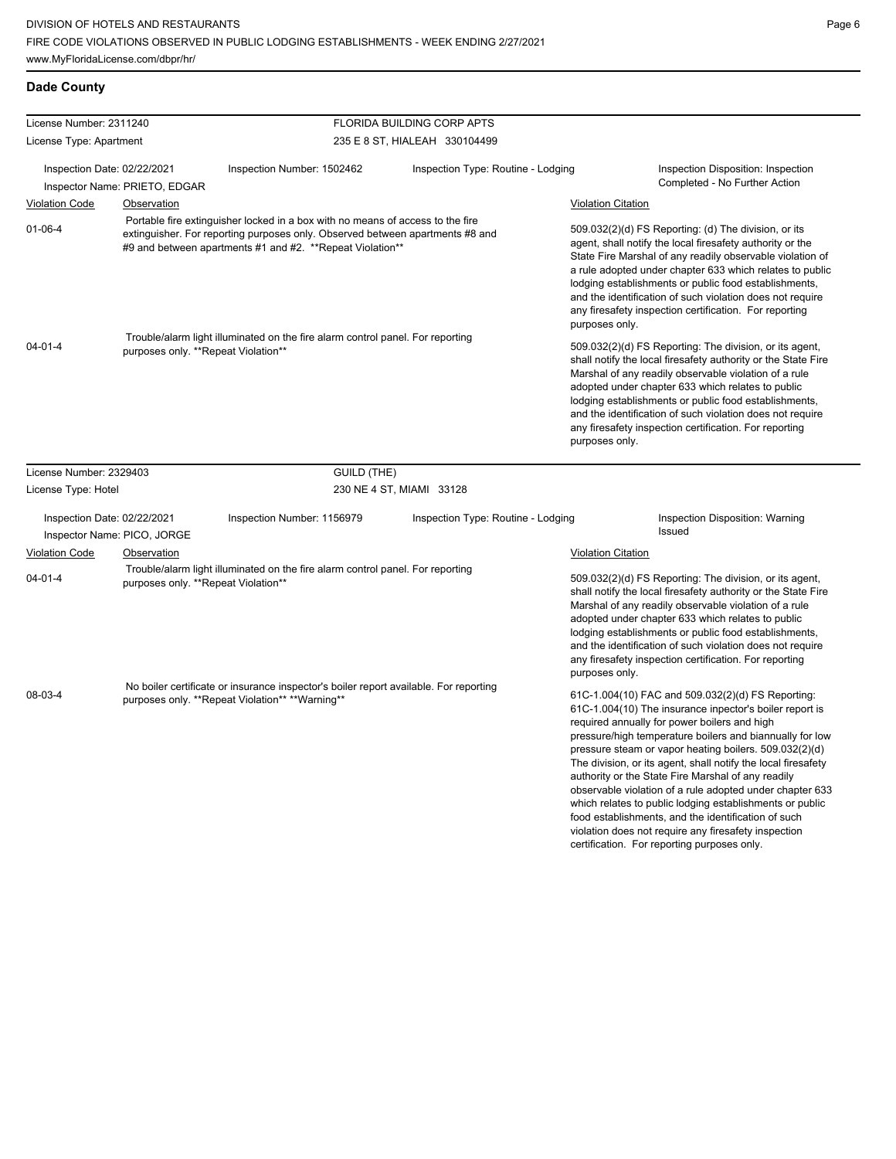| License Number: 2311240                                    |                                     |                                                                                                                                                                                                                              | FLORIDA BUILDING CORP APTS         |                                                                                                                                                                                                                                                                                                                                                                                                                                              |                                                                                                                                                                                                                                                                                                                                                                                                                                                                                                                                                                                                                                                                                                 |  |
|------------------------------------------------------------|-------------------------------------|------------------------------------------------------------------------------------------------------------------------------------------------------------------------------------------------------------------------------|------------------------------------|----------------------------------------------------------------------------------------------------------------------------------------------------------------------------------------------------------------------------------------------------------------------------------------------------------------------------------------------------------------------------------------------------------------------------------------------|-------------------------------------------------------------------------------------------------------------------------------------------------------------------------------------------------------------------------------------------------------------------------------------------------------------------------------------------------------------------------------------------------------------------------------------------------------------------------------------------------------------------------------------------------------------------------------------------------------------------------------------------------------------------------------------------------|--|
| License Type: Apartment                                    |                                     | 235 E 8 ST, HIALEAH 330104499                                                                                                                                                                                                |                                    |                                                                                                                                                                                                                                                                                                                                                                                                                                              |                                                                                                                                                                                                                                                                                                                                                                                                                                                                                                                                                                                                                                                                                                 |  |
| Inspection Date: 02/22/2021                                | Inspector Name: PRIETO, EDGAR       | Inspection Number: 1502462                                                                                                                                                                                                   | Inspection Type: Routine - Lodging |                                                                                                                                                                                                                                                                                                                                                                                                                                              | Inspection Disposition: Inspection<br>Completed - No Further Action                                                                                                                                                                                                                                                                                                                                                                                                                                                                                                                                                                                                                             |  |
| <b>Violation Code</b>                                      | <b>Observation</b>                  |                                                                                                                                                                                                                              |                                    | <b>Violation Citation</b>                                                                                                                                                                                                                                                                                                                                                                                                                    |                                                                                                                                                                                                                                                                                                                                                                                                                                                                                                                                                                                                                                                                                                 |  |
| $01 - 06 - 4$                                              |                                     | Portable fire extinguisher locked in a box with no means of access to the fire<br>extinguisher. For reporting purposes only. Observed between apartments #8 and<br>#9 and between apartments #1 and #2. **Repeat Violation** |                                    | 509.032(2)(d) FS Reporting: (d) The division, or its<br>agent, shall notify the local firesafety authority or the<br>State Fire Marshal of any readily observable violation of<br>a rule adopted under chapter 633 which relates to public<br>lodging establishments or public food establishments,<br>and the identification of such violation does not require<br>any firesafety inspection certification. For reporting<br>purposes only. |                                                                                                                                                                                                                                                                                                                                                                                                                                                                                                                                                                                                                                                                                                 |  |
| $04 - 01 - 4$                                              | purposes only. **Repeat Violation** | Trouble/alarm light illuminated on the fire alarm control panel. For reporting                                                                                                                                               |                                    | purposes only.                                                                                                                                                                                                                                                                                                                                                                                                                               | 509.032(2)(d) FS Reporting: The division, or its agent,<br>shall notify the local firesafety authority or the State Fire<br>Marshal of any readily observable violation of a rule<br>adopted under chapter 633 which relates to public<br>lodging establishments or public food establishments,<br>and the identification of such violation does not require<br>any firesafety inspection certification. For reporting                                                                                                                                                                                                                                                                          |  |
| License Number: 2329403                                    |                                     | GUILD (THE)                                                                                                                                                                                                                  |                                    |                                                                                                                                                                                                                                                                                                                                                                                                                                              |                                                                                                                                                                                                                                                                                                                                                                                                                                                                                                                                                                                                                                                                                                 |  |
| License Type: Hotel                                        |                                     | 230 NE 4 ST, MIAMI 33128                                                                                                                                                                                                     |                                    |                                                                                                                                                                                                                                                                                                                                                                                                                                              |                                                                                                                                                                                                                                                                                                                                                                                                                                                                                                                                                                                                                                                                                                 |  |
| Inspection Date: 02/22/2021<br>Inspector Name: PICO, JORGE |                                     | Inspection Number: 1156979                                                                                                                                                                                                   | Inspection Type: Routine - Lodging |                                                                                                                                                                                                                                                                                                                                                                                                                                              | Inspection Disposition: Warning<br>Issued                                                                                                                                                                                                                                                                                                                                                                                                                                                                                                                                                                                                                                                       |  |
| <b>Violation Code</b>                                      | Observation                         |                                                                                                                                                                                                                              |                                    | <b>Violation Citation</b>                                                                                                                                                                                                                                                                                                                                                                                                                    |                                                                                                                                                                                                                                                                                                                                                                                                                                                                                                                                                                                                                                                                                                 |  |
| $04 - 01 - 4$                                              | purposes only. **Repeat Violation** | Trouble/alarm light illuminated on the fire alarm control panel. For reporting                                                                                                                                               |                                    | purposes only.                                                                                                                                                                                                                                                                                                                                                                                                                               | 509.032(2)(d) FS Reporting: The division, or its agent,<br>shall notify the local firesafety authority or the State Fire<br>Marshal of any readily observable violation of a rule<br>adopted under chapter 633 which relates to public<br>lodging establishments or public food establishments,<br>and the identification of such violation does not require<br>any firesafety inspection certification. For reporting                                                                                                                                                                                                                                                                          |  |
| 08-03-4                                                    |                                     | No boiler certificate or insurance inspector's boiler report available. For reporting<br>purposes only. **Repeat Violation** **Warning**                                                                                     |                                    |                                                                                                                                                                                                                                                                                                                                                                                                                                              | 61C-1.004(10) FAC and 509.032(2)(d) FS Reporting:<br>61C-1.004(10) The insurance inpector's boiler report is<br>required annually for power boilers and high<br>pressure/high temperature boilers and biannually for low<br>pressure steam or vapor heating boilers. 509.032(2)(d)<br>The division, or its agent, shall notify the local firesafety<br>authority or the State Fire Marshal of any readily<br>observable violation of a rule adopted under chapter 633<br>which relates to public lodging establishments or public<br>food establishments, and the identification of such<br>violation does not require any firesafety inspection<br>certification. For reporting purposes only. |  |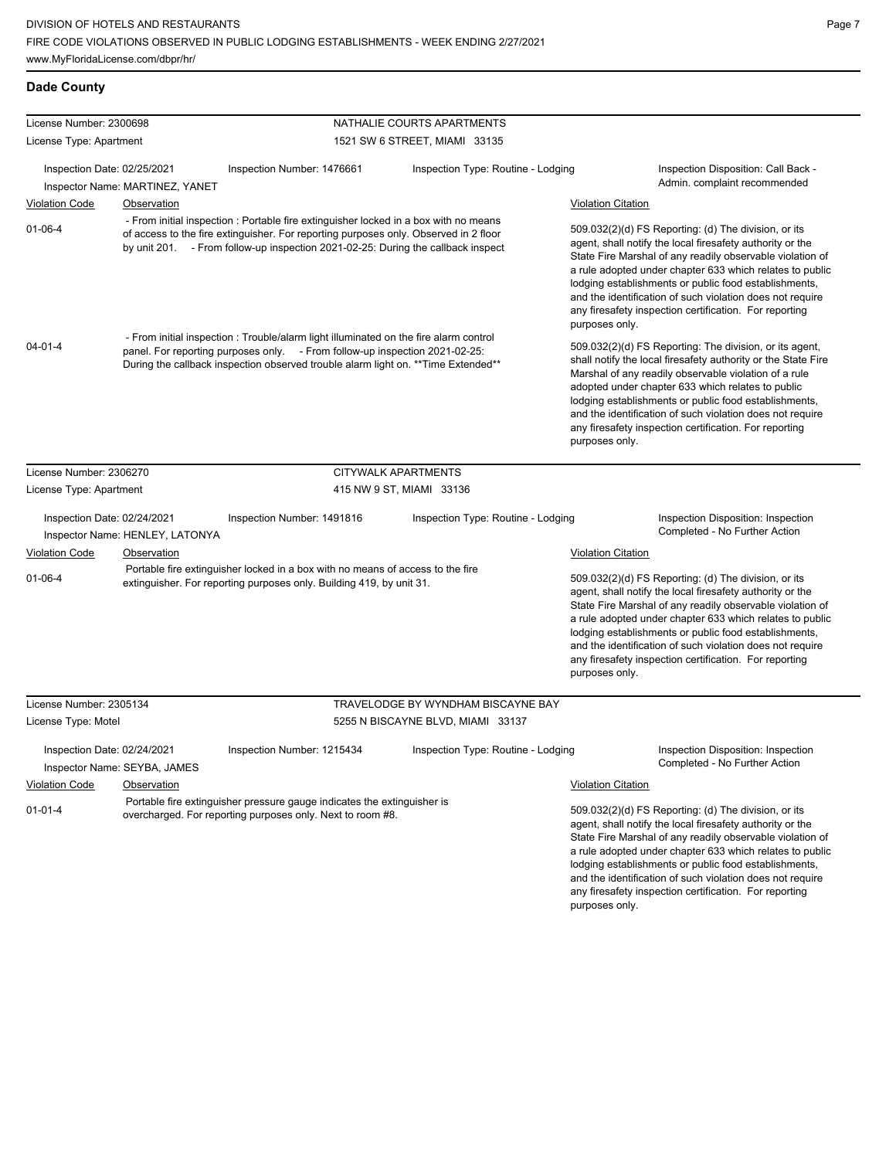| License Number: 2300698     |                                 |                                                                                                                                                                                                                                                                  | NATHALIE COURTS APARTMENTS         |                           |                                                                                                                                                                                                                                                                                                                                                                                                                            |
|-----------------------------|---------------------------------|------------------------------------------------------------------------------------------------------------------------------------------------------------------------------------------------------------------------------------------------------------------|------------------------------------|---------------------------|----------------------------------------------------------------------------------------------------------------------------------------------------------------------------------------------------------------------------------------------------------------------------------------------------------------------------------------------------------------------------------------------------------------------------|
| License Type: Apartment     |                                 |                                                                                                                                                                                                                                                                  | 1521 SW 6 STREET, MIAMI 33135      |                           |                                                                                                                                                                                                                                                                                                                                                                                                                            |
| Inspection Date: 02/25/2021 | Inspector Name: MARTINEZ, YANET | Inspection Number: 1476661                                                                                                                                                                                                                                       | Inspection Type: Routine - Lodging |                           | Inspection Disposition: Call Back -<br>Admin. complaint recommended                                                                                                                                                                                                                                                                                                                                                        |
| <b>Violation Code</b>       | Observation                     |                                                                                                                                                                                                                                                                  |                                    |                           | <b>Violation Citation</b>                                                                                                                                                                                                                                                                                                                                                                                                  |
| $01 - 06 - 4$               |                                 | - From initial inspection : Portable fire extinguisher locked in a box with no means<br>of access to the fire extinguisher. For reporting purposes only. Observed in 2 floor<br>by unit 201. - From follow-up inspection 2021-02-25: During the callback inspect |                                    | purposes only.            | 509.032(2)(d) FS Reporting: (d) The division, or its<br>agent, shall notify the local firesafety authority or the<br>State Fire Marshal of any readily observable violation of<br>a rule adopted under chapter 633 which relates to public<br>lodging establishments or public food establishments,<br>and the identification of such violation does not require<br>any firesafety inspection certification. For reporting |
| $04 - 01 - 4$               |                                 | - From initial inspection : Trouble/alarm light illuminated on the fire alarm control<br>panel. For reporting purposes only. - From follow-up inspection 2021-02-25:<br>During the callback inspection observed trouble alarm light on. **Time Extended**        |                                    | purposes only.            | 509.032(2)(d) FS Reporting: The division, or its agent,<br>shall notify the local firesafety authority or the State Fire<br>Marshal of any readily observable violation of a rule<br>adopted under chapter 633 which relates to public<br>lodging establishments or public food establishments,<br>and the identification of such violation does not require<br>any firesafety inspection certification. For reporting     |
| License Number: 2306270     |                                 |                                                                                                                                                                                                                                                                  | CITYWALK APARTMENTS                |                           |                                                                                                                                                                                                                                                                                                                                                                                                                            |
| License Type: Apartment     |                                 |                                                                                                                                                                                                                                                                  | 415 NW 9 ST, MIAMI 33136           |                           |                                                                                                                                                                                                                                                                                                                                                                                                                            |
| Inspection Date: 02/24/2021 | Inspector Name: HENLEY, LATONYA | Inspection Number: 1491816                                                                                                                                                                                                                                       | Inspection Type: Routine - Lodging |                           | Inspection Disposition: Inspection<br>Completed - No Further Action                                                                                                                                                                                                                                                                                                                                                        |
| <b>Violation Code</b>       | Observation                     |                                                                                                                                                                                                                                                                  |                                    | <b>Violation Citation</b> |                                                                                                                                                                                                                                                                                                                                                                                                                            |
| $01 - 06 - 4$               |                                 | Portable fire extinguisher locked in a box with no means of access to the fire<br>extinguisher. For reporting purposes only. Building 419, by unit 31.                                                                                                           |                                    | purposes only.            | 509.032(2)(d) FS Reporting: (d) The division, or its<br>agent, shall notify the local firesafety authority or the<br>State Fire Marshal of any readily observable violation of<br>a rule adopted under chapter 633 which relates to public<br>lodging establishments or public food establishments,<br>and the identification of such violation does not require<br>any firesafety inspection certification. For reporting |
| License Number: 2305134     |                                 |                                                                                                                                                                                                                                                                  | TRAVELODGE BY WYNDHAM BISCAYNE BAY |                           |                                                                                                                                                                                                                                                                                                                                                                                                                            |
| License Type: Motel         |                                 |                                                                                                                                                                                                                                                                  | 5255 N BISCAYNE BLVD, MIAMI 33137  |                           |                                                                                                                                                                                                                                                                                                                                                                                                                            |
| Inspection Date: 02/24/2021 | Inspector Name: SEYBA, JAMES    | Inspection Number: 1215434                                                                                                                                                                                                                                       | Inspection Type: Routine - Lodging |                           | Inspection Disposition: Inspection<br>Completed - No Further Action                                                                                                                                                                                                                                                                                                                                                        |
| <b>Violation Code</b>       | Observation                     |                                                                                                                                                                                                                                                                  |                                    | <b>Violation Citation</b> |                                                                                                                                                                                                                                                                                                                                                                                                                            |
| $01 - 01 - 4$               |                                 | Portable fire extinguisher pressure gauge indicates the extinguisher is<br>overcharged. For reporting purposes only. Next to room #8.                                                                                                                            |                                    |                           | 509.032(2)(d) FS Reporting: (d) The division, or its<br>agent, shall notify the local firesafety authority or the<br>State Fire Marshal of any readily observable violation of<br>a rule adopted under chapter 633 which relates to public<br>lodging establishments or public food establishments,<br>and the identification of such violation does not require                                                           |

any firesafety inspection certification. For reporting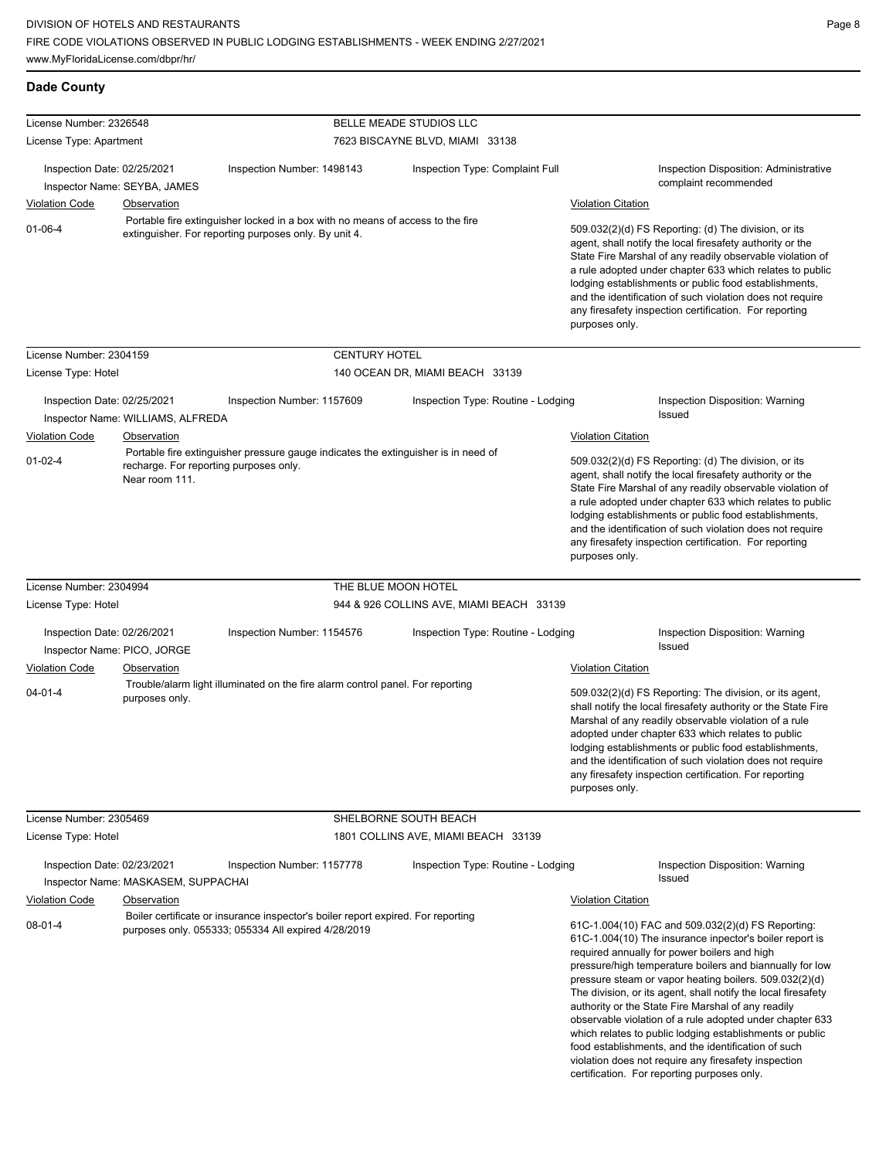| License Number: 2326548                                    |                                                          |                                                                                                                                         | BELLE MEADE STUDIOS LLC                  |                                                                                                                                                                                                                                                                                                                                                                                                                                                                                                                                                                                                                                                                                                 |
|------------------------------------------------------------|----------------------------------------------------------|-----------------------------------------------------------------------------------------------------------------------------------------|------------------------------------------|-------------------------------------------------------------------------------------------------------------------------------------------------------------------------------------------------------------------------------------------------------------------------------------------------------------------------------------------------------------------------------------------------------------------------------------------------------------------------------------------------------------------------------------------------------------------------------------------------------------------------------------------------------------------------------------------------|
| License Type: Apartment                                    |                                                          |                                                                                                                                         | 7623 BISCAYNE BLVD, MIAMI 33138          |                                                                                                                                                                                                                                                                                                                                                                                                                                                                                                                                                                                                                                                                                                 |
| Inspection Date: 02/25/2021                                | Inspector Name: SEYBA, JAMES                             | Inspection Number: 1498143                                                                                                              | Inspection Type: Complaint Full          | Inspection Disposition: Administrative<br>complaint recommended                                                                                                                                                                                                                                                                                                                                                                                                                                                                                                                                                                                                                                 |
| <b>Violation Code</b>                                      | Observation                                              |                                                                                                                                         |                                          | <b>Violation Citation</b>                                                                                                                                                                                                                                                                                                                                                                                                                                                                                                                                                                                                                                                                       |
| $01 - 06 - 4$                                              |                                                          | Portable fire extinguisher locked in a box with no means of access to the fire<br>extinguisher. For reporting purposes only. By unit 4. |                                          | 509.032(2)(d) FS Reporting: (d) The division, or its<br>agent, shall notify the local firesafety authority or the<br>State Fire Marshal of any readily observable violation of<br>a rule adopted under chapter 633 which relates to public<br>lodging establishments or public food establishments,<br>and the identification of such violation does not require<br>any firesafety inspection certification. For reporting<br>purposes only.                                                                                                                                                                                                                                                    |
| License Number: 2304159                                    |                                                          | <b>CENTURY HOTEL</b>                                                                                                                    |                                          |                                                                                                                                                                                                                                                                                                                                                                                                                                                                                                                                                                                                                                                                                                 |
| License Type: Hotel                                        |                                                          |                                                                                                                                         | 140 OCEAN DR, MIAMI BEACH 33139          |                                                                                                                                                                                                                                                                                                                                                                                                                                                                                                                                                                                                                                                                                                 |
| Inspection Date: 02/25/2021<br><b>Violation Code</b>       | Inspector Name: WILLIAMS, ALFREDA<br>Observation         | Inspection Number: 1157609                                                                                                              | Inspection Type: Routine - Lodging       | Inspection Disposition: Warning<br><b>Issued</b><br><b>Violation Citation</b>                                                                                                                                                                                                                                                                                                                                                                                                                                                                                                                                                                                                                   |
| $01 - 02 - 4$                                              | recharge. For reporting purposes only.<br>Near room 111. | Portable fire extinguisher pressure gauge indicates the extinguisher is in need of                                                      |                                          | 509.032(2)(d) FS Reporting: (d) The division, or its<br>agent, shall notify the local firesafety authority or the<br>State Fire Marshal of any readily observable violation of<br>a rule adopted under chapter 633 which relates to public<br>lodging establishments or public food establishments,<br>and the identification of such violation does not require<br>any firesafety inspection certification. For reporting<br>purposes only.                                                                                                                                                                                                                                                    |
| License Number: 2304994                                    |                                                          |                                                                                                                                         | THE BLUE MOON HOTEL                      |                                                                                                                                                                                                                                                                                                                                                                                                                                                                                                                                                                                                                                                                                                 |
| License Type: Hotel                                        |                                                          |                                                                                                                                         | 944 & 926 COLLINS AVE, MIAMI BEACH 33139 |                                                                                                                                                                                                                                                                                                                                                                                                                                                                                                                                                                                                                                                                                                 |
| Inspection Date: 02/26/2021<br>Inspector Name: PICO, JORGE |                                                          | Inspection Number: 1154576                                                                                                              | Inspection Type: Routine - Lodging       | Inspection Disposition: Warning<br>Issued                                                                                                                                                                                                                                                                                                                                                                                                                                                                                                                                                                                                                                                       |
| <b>Violation Code</b>                                      | Observation                                              |                                                                                                                                         |                                          | <b>Violation Citation</b>                                                                                                                                                                                                                                                                                                                                                                                                                                                                                                                                                                                                                                                                       |
| $04 - 01 - 4$                                              | purposes only.                                           | Trouble/alarm light illuminated on the fire alarm control panel. For reporting                                                          |                                          | 509.032(2)(d) FS Reporting: The division, or its agent,<br>shall notify the local firesafety authority or the State Fire<br>Marshal of any readily observable violation of a rule<br>adopted under chapter 633 which relates to public<br>lodging establishments or public food establishments,<br>and the identification of such violation does not require<br>any firesafety inspection certification. For reporting<br>purposes only.                                                                                                                                                                                                                                                        |
| License Number: 2305469                                    |                                                          |                                                                                                                                         | SHELBORNE SOUTH BEACH                    |                                                                                                                                                                                                                                                                                                                                                                                                                                                                                                                                                                                                                                                                                                 |
| License Type: Hotel                                        |                                                          |                                                                                                                                         | 1801 COLLINS AVE, MIAMI BEACH 33139      |                                                                                                                                                                                                                                                                                                                                                                                                                                                                                                                                                                                                                                                                                                 |
| Inspection Date: 02/23/2021                                | Inspector Name: MASKASEM, SUPPACHAI                      | Inspection Number: 1157778                                                                                                              | Inspection Type: Routine - Lodging       | Inspection Disposition: Warning<br>Issued                                                                                                                                                                                                                                                                                                                                                                                                                                                                                                                                                                                                                                                       |
| <b>Violation Code</b>                                      | Observation                                              |                                                                                                                                         |                                          | <b>Violation Citation</b>                                                                                                                                                                                                                                                                                                                                                                                                                                                                                                                                                                                                                                                                       |
| $08 - 01 - 4$                                              |                                                          | Boiler certificate or insurance inspector's boiler report expired. For reporting<br>purposes only. 055333; 055334 All expired 4/28/2019 |                                          | 61C-1.004(10) FAC and 509.032(2)(d) FS Reporting:<br>61C-1.004(10) The insurance inpector's boiler report is<br>required annually for power boilers and high<br>pressure/high temperature boilers and biannually for low<br>pressure steam or vapor heating boilers. 509.032(2)(d)<br>The division, or its agent, shall notify the local firesafety<br>authority or the State Fire Marshal of any readily<br>observable violation of a rule adopted under chapter 633<br>which relates to public lodging establishments or public<br>food establishments, and the identification of such<br>violation does not require any firesafety inspection<br>certification. For reporting purposes only. |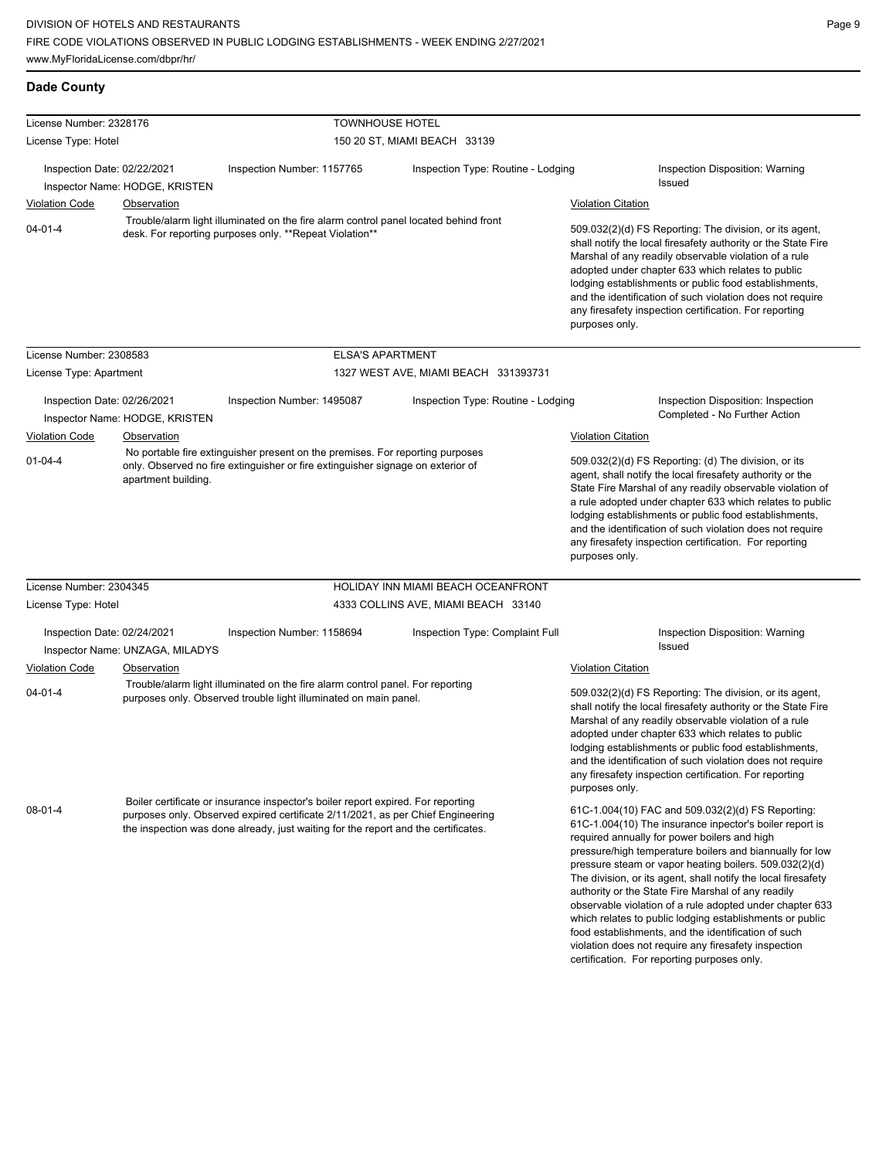| License Number: 2328176                                       |                                 | <b>TOWNHOUSE HOTEL</b>                                                                                                                                                                                                                                    |                                      |                                                                                                                                                                                                                                                                                                                                                                                                                                              |                                                                                                                                                                                                                                                                                                                                                                                                                                                                                                                                                                                                                                                                                                 |
|---------------------------------------------------------------|---------------------------------|-----------------------------------------------------------------------------------------------------------------------------------------------------------------------------------------------------------------------------------------------------------|--------------------------------------|----------------------------------------------------------------------------------------------------------------------------------------------------------------------------------------------------------------------------------------------------------------------------------------------------------------------------------------------------------------------------------------------------------------------------------------------|-------------------------------------------------------------------------------------------------------------------------------------------------------------------------------------------------------------------------------------------------------------------------------------------------------------------------------------------------------------------------------------------------------------------------------------------------------------------------------------------------------------------------------------------------------------------------------------------------------------------------------------------------------------------------------------------------|
| License Type: Hotel                                           |                                 |                                                                                                                                                                                                                                                           | 150 20 ST, MIAMI BEACH 33139         |                                                                                                                                                                                                                                                                                                                                                                                                                                              |                                                                                                                                                                                                                                                                                                                                                                                                                                                                                                                                                                                                                                                                                                 |
| Inspection Date: 02/22/2021                                   | Inspector Name: HODGE, KRISTEN  | Inspection Number: 1157765                                                                                                                                                                                                                                | Inspection Type: Routine - Lodging   |                                                                                                                                                                                                                                                                                                                                                                                                                                              | Inspection Disposition: Warning<br>Issued                                                                                                                                                                                                                                                                                                                                                                                                                                                                                                                                                                                                                                                       |
| <b>Violation Code</b>                                         | Observation                     |                                                                                                                                                                                                                                                           |                                      | <b>Violation Citation</b>                                                                                                                                                                                                                                                                                                                                                                                                                    |                                                                                                                                                                                                                                                                                                                                                                                                                                                                                                                                                                                                                                                                                                 |
| $04 - 01 - 4$                                                 |                                 | Trouble/alarm light illuminated on the fire alarm control panel located behind front<br>desk. For reporting purposes only. **Repeat Violation**                                                                                                           |                                      | purposes only.                                                                                                                                                                                                                                                                                                                                                                                                                               | 509.032(2)(d) FS Reporting: The division, or its agent,<br>shall notify the local firesafety authority or the State Fire<br>Marshal of any readily observable violation of a rule<br>adopted under chapter 633 which relates to public<br>lodging establishments or public food establishments,<br>and the identification of such violation does not require<br>any firesafety inspection certification. For reporting                                                                                                                                                                                                                                                                          |
| License Number: 2308583                                       |                                 | <b>ELSA'S APARTMENT</b>                                                                                                                                                                                                                                   |                                      |                                                                                                                                                                                                                                                                                                                                                                                                                                              |                                                                                                                                                                                                                                                                                                                                                                                                                                                                                                                                                                                                                                                                                                 |
| License Type: Apartment                                       |                                 |                                                                                                                                                                                                                                                           | 1327 WEST AVE, MIAMI BEACH 331393731 |                                                                                                                                                                                                                                                                                                                                                                                                                                              |                                                                                                                                                                                                                                                                                                                                                                                                                                                                                                                                                                                                                                                                                                 |
| Inspection Date: 02/26/2021<br>Inspector Name: HODGE, KRISTEN |                                 | Inspection Type: Routine - Lodging<br>Inspection Number: 1495087                                                                                                                                                                                          |                                      |                                                                                                                                                                                                                                                                                                                                                                                                                                              | Inspection Disposition: Inspection<br>Completed - No Further Action                                                                                                                                                                                                                                                                                                                                                                                                                                                                                                                                                                                                                             |
| <b>Violation Code</b>                                         | Observation                     |                                                                                                                                                                                                                                                           |                                      | <b>Violation Citation</b>                                                                                                                                                                                                                                                                                                                                                                                                                    |                                                                                                                                                                                                                                                                                                                                                                                                                                                                                                                                                                                                                                                                                                 |
| $01 - 04 - 4$<br>apartment building.                          |                                 | No portable fire extinguisher present on the premises. For reporting purposes<br>only. Observed no fire extinguisher or fire extinguisher signage on exterior of                                                                                          |                                      | 509.032(2)(d) FS Reporting: (d) The division, or its<br>agent, shall notify the local firesafety authority or the<br>State Fire Marshal of any readily observable violation of<br>a rule adopted under chapter 633 which relates to public<br>lodging establishments or public food establishments,<br>and the identification of such violation does not require<br>any firesafety inspection certification. For reporting<br>purposes only. |                                                                                                                                                                                                                                                                                                                                                                                                                                                                                                                                                                                                                                                                                                 |
| License Number: 2304345                                       |                                 |                                                                                                                                                                                                                                                           | HOLIDAY INN MIAMI BEACH OCEANFRONT   |                                                                                                                                                                                                                                                                                                                                                                                                                                              |                                                                                                                                                                                                                                                                                                                                                                                                                                                                                                                                                                                                                                                                                                 |
| License Type: Hotel                                           |                                 |                                                                                                                                                                                                                                                           | 4333 COLLINS AVE, MIAMI BEACH 33140  |                                                                                                                                                                                                                                                                                                                                                                                                                                              |                                                                                                                                                                                                                                                                                                                                                                                                                                                                                                                                                                                                                                                                                                 |
| Inspection Date: 02/24/2021                                   | Inspector Name: UNZAGA, MILADYS | Inspection Number: 1158694                                                                                                                                                                                                                                | Inspection Type: Complaint Full      |                                                                                                                                                                                                                                                                                                                                                                                                                                              | Inspection Disposition: Warning<br>Issued                                                                                                                                                                                                                                                                                                                                                                                                                                                                                                                                                                                                                                                       |
| <b>Violation Code</b>                                         | Observation                     |                                                                                                                                                                                                                                                           |                                      | <b>Violation Citation</b>                                                                                                                                                                                                                                                                                                                                                                                                                    |                                                                                                                                                                                                                                                                                                                                                                                                                                                                                                                                                                                                                                                                                                 |
| $04 - 01 - 4$                                                 |                                 | Trouble/alarm light illuminated on the fire alarm control panel. For reporting<br>purposes only. Observed trouble light illuminated on main panel.                                                                                                        |                                      | purposes only.                                                                                                                                                                                                                                                                                                                                                                                                                               | 509.032(2)(d) FS Reporting: The division, or its agent,<br>shall notify the local firesafety authority or the State Fire<br>Marshal of any readily observable violation of a rule<br>adopted under chapter 633 which relates to public<br>lodging establishments or public food establishments,<br>and the identification of such violation does not require<br>any firesafety inspection certification. For reporting                                                                                                                                                                                                                                                                          |
| $08 - 01 - 4$                                                 |                                 | Boiler certificate or insurance inspector's boiler report expired. For reporting<br>purposes only. Observed expired certificate 2/11/2021, as per Chief Engineering<br>the inspection was done already, just waiting for the report and the certificates. |                                      |                                                                                                                                                                                                                                                                                                                                                                                                                                              | 61C-1.004(10) FAC and 509.032(2)(d) FS Reporting:<br>61C-1.004(10) The insurance inpector's boiler report is<br>required annually for power boilers and high<br>pressure/high temperature boilers and biannually for low<br>pressure steam or vapor heating boilers. 509.032(2)(d)<br>The division, or its agent, shall notify the local firesafety<br>authority or the State Fire Marshal of any readily<br>observable violation of a rule adopted under chapter 633<br>which relates to public lodging establishments or public<br>food establishments, and the identification of such<br>violation does not require any firesafety inspection<br>certification. For reporting purposes only. |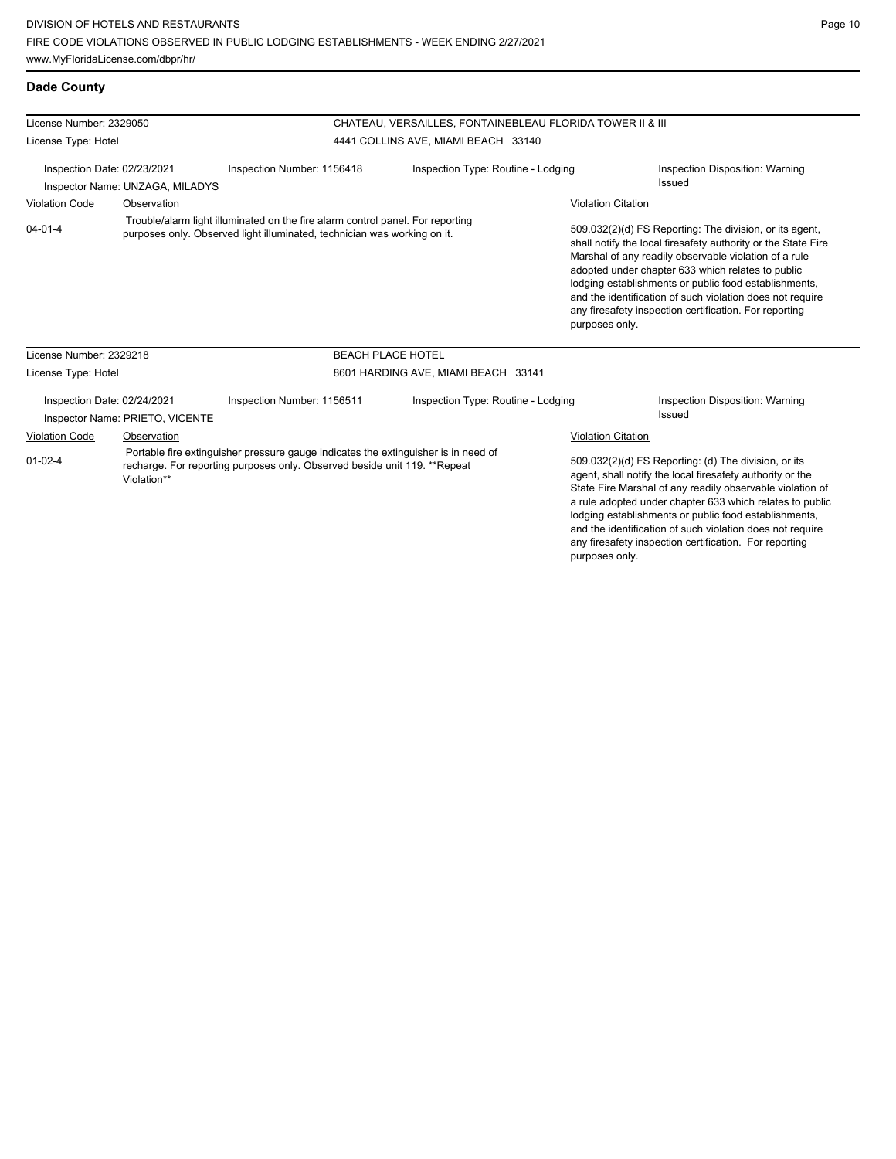| <b>Dade County</b>                                                                                                                                                                              |                                                                |                                                                                                                                                            |                                                           |                           |                                                                                                                                                                                                                                                                                                                                                                                                                            |
|-------------------------------------------------------------------------------------------------------------------------------------------------------------------------------------------------|----------------------------------------------------------------|------------------------------------------------------------------------------------------------------------------------------------------------------------|-----------------------------------------------------------|---------------------------|----------------------------------------------------------------------------------------------------------------------------------------------------------------------------------------------------------------------------------------------------------------------------------------------------------------------------------------------------------------------------------------------------------------------------|
| License Number: 2329050                                                                                                                                                                         |                                                                |                                                                                                                                                            | CHATEAU, VERSAILLES, FONTAINEBLEAU FLORIDA TOWER II & III |                           |                                                                                                                                                                                                                                                                                                                                                                                                                            |
| License Type: Hotel                                                                                                                                                                             |                                                                |                                                                                                                                                            | 4441 COLLINS AVE, MIAMI BEACH 33140                       |                           |                                                                                                                                                                                                                                                                                                                                                                                                                            |
|                                                                                                                                                                                                 | Inspection Date: 02/23/2021                                    | Inspection Number: 1156418                                                                                                                                 | Inspection Type: Routine - Lodging                        |                           | Inspection Disposition: Warning                                                                                                                                                                                                                                                                                                                                                                                            |
|                                                                                                                                                                                                 | Inspector Name: UNZAGA, MILADYS                                |                                                                                                                                                            |                                                           |                           | Issued                                                                                                                                                                                                                                                                                                                                                                                                                     |
| <b>Violation Code</b>                                                                                                                                                                           | Observation                                                    |                                                                                                                                                            |                                                           | <b>Violation Citation</b> |                                                                                                                                                                                                                                                                                                                                                                                                                            |
| $04 - 01 - 4$                                                                                                                                                                                   |                                                                | Trouble/alarm light illuminated on the fire alarm control panel. For reporting<br>purposes only. Observed light illuminated, technician was working on it. |                                                           | purposes only.            | 509.032(2)(d) FS Reporting: The division, or its agent,<br>shall notify the local firesafety authority or the State Fire<br>Marshal of any readily observable violation of a rule<br>adopted under chapter 633 which relates to public<br>lodging establishments or public food establishments,<br>and the identification of such violation does not require<br>any firesafety inspection certification. For reporting     |
| License Number: 2329218                                                                                                                                                                         |                                                                |                                                                                                                                                            | <b>BEACH PLACE HOTEL</b>                                  |                           |                                                                                                                                                                                                                                                                                                                                                                                                                            |
| License Type: Hotel                                                                                                                                                                             |                                                                |                                                                                                                                                            | 8601 HARDING AVE, MIAMI BEACH 33141                       |                           |                                                                                                                                                                                                                                                                                                                                                                                                                            |
|                                                                                                                                                                                                 | Inspection Date: 02/24/2021<br>Inspector Name: PRIETO, VICENTE | Inspection Number: 1156511                                                                                                                                 | Inspection Type: Routine - Lodging                        |                           | Inspection Disposition: Warning<br>Issued                                                                                                                                                                                                                                                                                                                                                                                  |
| <b>Violation Code</b>                                                                                                                                                                           | Observation                                                    |                                                                                                                                                            |                                                           | <b>Violation Citation</b> |                                                                                                                                                                                                                                                                                                                                                                                                                            |
| Portable fire extinguisher pressure gauge indicates the extinguisher is in need of<br>$01 - 02 - 4$<br>recharge. For reporting purposes only. Observed beside unit 119. **Repeat<br>Violation** |                                                                |                                                                                                                                                            |                                                           | purposes only.            | 509.032(2)(d) FS Reporting: (d) The division, or its<br>agent, shall notify the local firesafety authority or the<br>State Fire Marshal of any readily observable violation of<br>a rule adopted under chapter 633 which relates to public<br>lodging establishments or public food establishments,<br>and the identification of such violation does not require<br>any firesafety inspection certification. For reporting |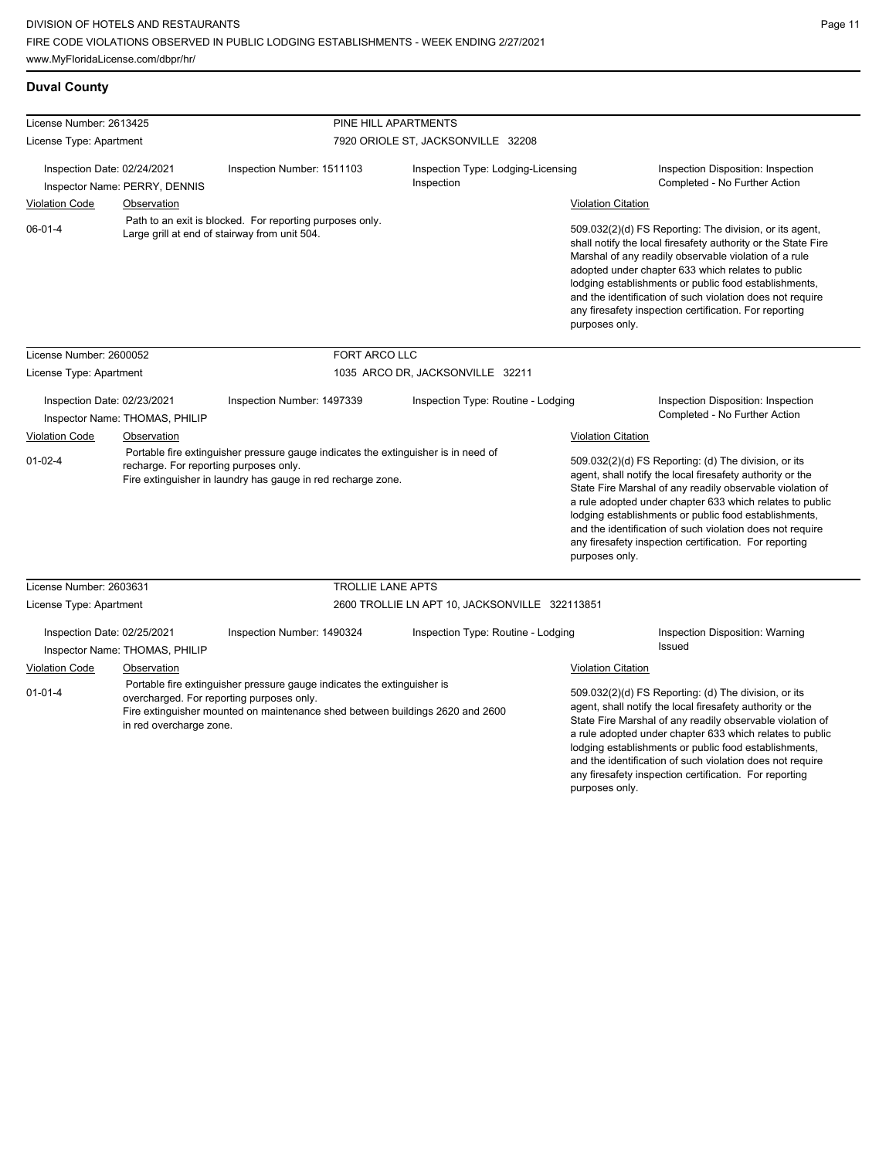# **Duval County**

| License Number: 2613425     |                                |                                                                                                                                                                                                       | PINE HILL APARTMENTS<br>7920 ORIOLE ST, JACKSONVILLE 32208 |                           |                                                                                                                                                                                                                                                                                                                                                                                                                            |  |  |
|-----------------------------|--------------------------------|-------------------------------------------------------------------------------------------------------------------------------------------------------------------------------------------------------|------------------------------------------------------------|---------------------------|----------------------------------------------------------------------------------------------------------------------------------------------------------------------------------------------------------------------------------------------------------------------------------------------------------------------------------------------------------------------------------------------------------------------------|--|--|
| License Type: Apartment     |                                |                                                                                                                                                                                                       |                                                            |                           |                                                                                                                                                                                                                                                                                                                                                                                                                            |  |  |
| Inspection Date: 02/24/2021 | Inspector Name: PERRY, DENNIS  | Inspection Number: 1511103                                                                                                                                                                            | Inspection Type: Lodging-Licensing<br>Inspection           |                           | Inspection Disposition: Inspection<br>Completed - No Further Action                                                                                                                                                                                                                                                                                                                                                        |  |  |
| <b>Violation Code</b>       | Observation                    |                                                                                                                                                                                                       |                                                            | <b>Violation Citation</b> |                                                                                                                                                                                                                                                                                                                                                                                                                            |  |  |
| $06 - 01 - 4$               |                                | Path to an exit is blocked. For reporting purposes only.<br>Large grill at end of stairway from unit 504.                                                                                             |                                                            | purposes only.            | 509.032(2)(d) FS Reporting: The division, or its agent,<br>shall notify the local firesafety authority or the State Fire<br>Marshal of any readily observable violation of a rule<br>adopted under chapter 633 which relates to public<br>lodging establishments or public food establishments,<br>and the identification of such violation does not require<br>any firesafety inspection certification. For reporting     |  |  |
| License Number: 2600052     |                                | FORT ARCO LLC                                                                                                                                                                                         |                                                            |                           |                                                                                                                                                                                                                                                                                                                                                                                                                            |  |  |
| License Type: Apartment     |                                |                                                                                                                                                                                                       | 1035 ARCO DR, JACKSONVILLE 32211                           |                           |                                                                                                                                                                                                                                                                                                                                                                                                                            |  |  |
| Inspection Date: 02/23/2021 | Inspector Name: THOMAS, PHILIP | Inspection Number: 1497339                                                                                                                                                                            | Inspection Type: Routine - Lodging                         |                           | Inspection Disposition: Inspection<br>Completed - No Further Action                                                                                                                                                                                                                                                                                                                                                        |  |  |
| Violation Code              | Observation                    |                                                                                                                                                                                                       |                                                            | <b>Violation Citation</b> |                                                                                                                                                                                                                                                                                                                                                                                                                            |  |  |
| $01-02-4$                   |                                | Portable fire extinguisher pressure gauge indicates the extinguisher is in need of<br>recharge. For reporting purposes only.<br>Fire extinguisher in laundry has gauge in red recharge zone.          |                                                            | purposes only.            | 509.032(2)(d) FS Reporting: (d) The division, or its<br>agent, shall notify the local firesafety authority or the<br>State Fire Marshal of any readily observable violation of<br>a rule adopted under chapter 633 which relates to public<br>lodging establishments or public food establishments,<br>and the identification of such violation does not require<br>any firesafety inspection certification. For reporting |  |  |
| License Number: 2603631     |                                | <b>TROLLIE LANE APTS</b>                                                                                                                                                                              |                                                            |                           |                                                                                                                                                                                                                                                                                                                                                                                                                            |  |  |
| License Type: Apartment     |                                |                                                                                                                                                                                                       | 2600 TROLLIE LN APT 10, JACKSONVILLE 322113851             |                           |                                                                                                                                                                                                                                                                                                                                                                                                                            |  |  |
| Inspection Date: 02/25/2021 | Inspector Name: THOMAS, PHILIP | Inspection Number: 1490324                                                                                                                                                                            | Inspection Type: Routine - Lodging                         |                           | Inspection Disposition: Warning<br><b>Issued</b>                                                                                                                                                                                                                                                                                                                                                                           |  |  |
| <b>Violation Code</b>       | Observation                    |                                                                                                                                                                                                       |                                                            | <b>Violation Citation</b> |                                                                                                                                                                                                                                                                                                                                                                                                                            |  |  |
| $01 - 01 - 4$               | in red overcharge zone.        | Portable fire extinguisher pressure gauge indicates the extinguisher is<br>overcharged. For reporting purposes only.<br>Fire extinguisher mounted on maintenance shed between buildings 2620 and 2600 |                                                            |                           | 509.032(2)(d) FS Reporting: (d) The division, or its<br>agent, shall notify the local firesafety authority or the<br>State Fire Marshal of any readily observable violation of<br>a rule adopted under chapter 633 which relates to public<br>lodging establishments or public food establishments,<br>and the identification of such violation does not require                                                           |  |  |

any firesafety inspection certification. For reporting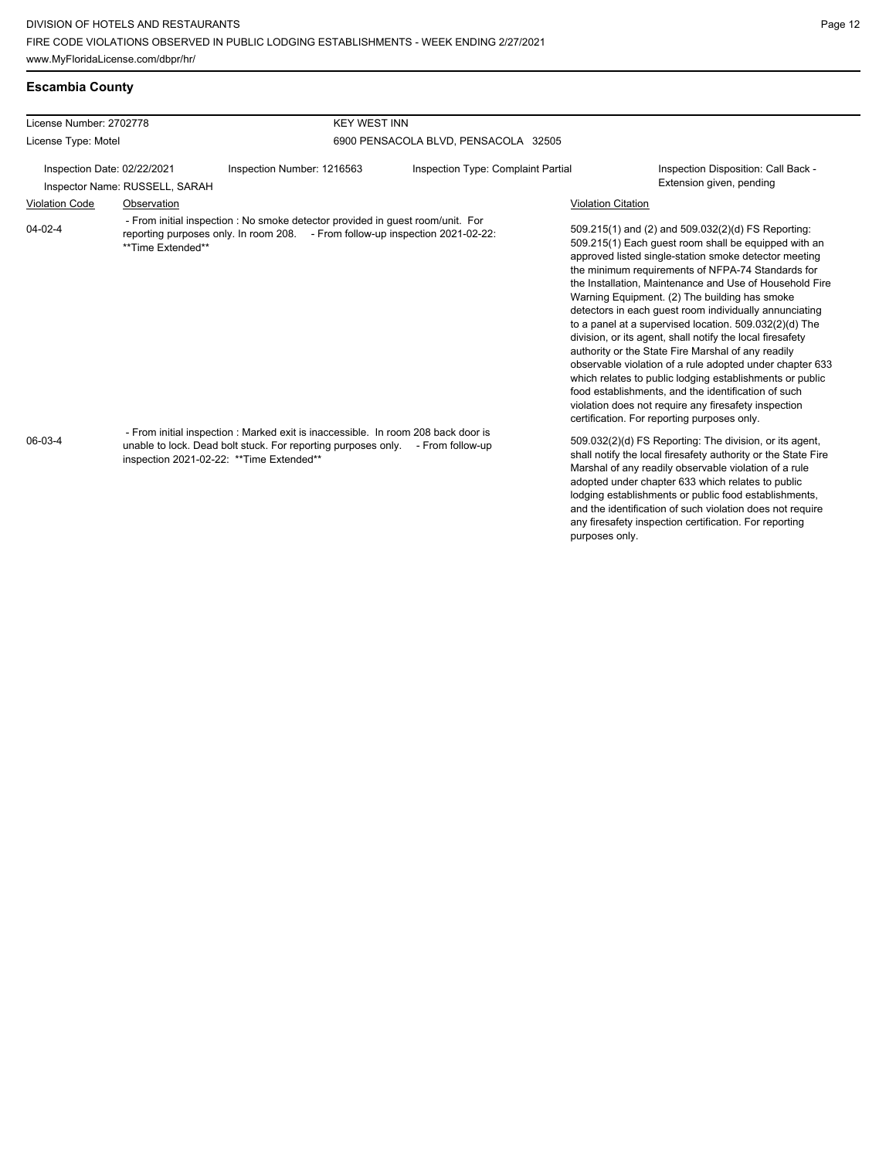|  |  |  | <b>Escambia County</b> |
|--|--|--|------------------------|
|--|--|--|------------------------|

| License Number: 2702778                                       |                   | <b>KEY WEST INN</b>                                                                                                                                                                                                                                  |                                      |                           |                                                                                                                                                                                                                                                                                                                                                                                                                                                                                                                                                                                                                                                                                                                                                                                                                                                                   |
|---------------------------------------------------------------|-------------------|------------------------------------------------------------------------------------------------------------------------------------------------------------------------------------------------------------------------------------------------------|--------------------------------------|---------------------------|-------------------------------------------------------------------------------------------------------------------------------------------------------------------------------------------------------------------------------------------------------------------------------------------------------------------------------------------------------------------------------------------------------------------------------------------------------------------------------------------------------------------------------------------------------------------------------------------------------------------------------------------------------------------------------------------------------------------------------------------------------------------------------------------------------------------------------------------------------------------|
| License Type: Motel                                           |                   |                                                                                                                                                                                                                                                      | 6900 PENSACOLA BLVD, PENSACOLA 32505 |                           |                                                                                                                                                                                                                                                                                                                                                                                                                                                                                                                                                                                                                                                                                                                                                                                                                                                                   |
| Inspection Date: 02/22/2021<br>Inspector Name: RUSSELL, SARAH |                   | Inspection Number: 1216563                                                                                                                                                                                                                           | Inspection Type: Complaint Partial   |                           | Inspection Disposition: Call Back -<br>Extension given, pending                                                                                                                                                                                                                                                                                                                                                                                                                                                                                                                                                                                                                                                                                                                                                                                                   |
| <b>Violation Code</b>                                         | Observation       |                                                                                                                                                                                                                                                      |                                      | <b>Violation Citation</b> |                                                                                                                                                                                                                                                                                                                                                                                                                                                                                                                                                                                                                                                                                                                                                                                                                                                                   |
| $04 - 02 - 4$                                                 | **Time Extended** | - From initial inspection : No smoke detector provided in guest room/unit. For<br>reporting purposes only. In room 208. - From follow-up inspection 2021-02-22:<br>- From initial inspection : Marked exit is inaccessible. In room 208 back door is |                                      |                           | 509.215(1) and (2) and 509.032(2)(d) FS Reporting:<br>509.215(1) Each guest room shall be equipped with an<br>approved listed single-station smoke detector meeting<br>the minimum requirements of NFPA-74 Standards for<br>the Installation, Maintenance and Use of Household Fire<br>Warning Equipment. (2) The building has smoke<br>detectors in each quest room individually annunciating<br>to a panel at a supervised location. 509.032(2)(d) The<br>division, or its agent, shall notify the local firesafety<br>authority or the State Fire Marshal of any readily<br>observable violation of a rule adopted under chapter 633<br>which relates to public lodging establishments or public<br>food establishments, and the identification of such<br>violation does not require any firesafety inspection<br>certification. For reporting purposes only. |
| 06-03-4                                                       |                   | unable to lock. Dead bolt stuck. For reporting purposes only. - From follow-up<br>inspection 2021-02-22: ** Time Extended**                                                                                                                          |                                      | purposes only.            | 509.032(2)(d) FS Reporting: The division, or its agent,<br>shall notify the local firesafety authority or the State Fire<br>Marshal of any readily observable violation of a rule<br>adopted under chapter 633 which relates to public<br>lodging establishments or public food establishments.<br>and the identification of such violation does not require<br>any firesafety inspection certification. For reporting                                                                                                                                                                                                                                                                                                                                                                                                                                            |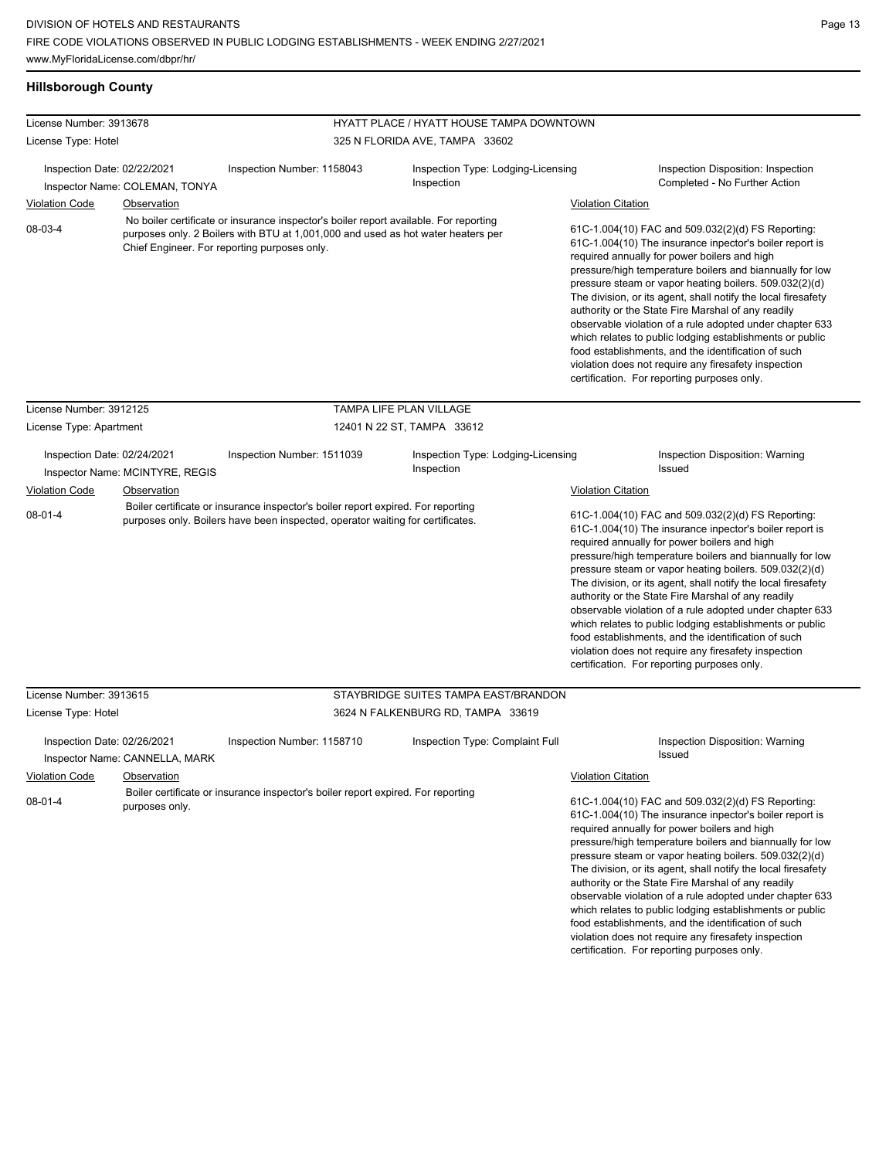| misporough county                                                                                                                                                                                                                                                                                                                                |                    |                                                                                                                                                                    |                                                  |                                                                                                                                                                                                                                                                                                                                                                                                                                                                                                                                                                                                                                                                                                                              |
|--------------------------------------------------------------------------------------------------------------------------------------------------------------------------------------------------------------------------------------------------------------------------------------------------------------------------------------------------|--------------------|--------------------------------------------------------------------------------------------------------------------------------------------------------------------|--------------------------------------------------|------------------------------------------------------------------------------------------------------------------------------------------------------------------------------------------------------------------------------------------------------------------------------------------------------------------------------------------------------------------------------------------------------------------------------------------------------------------------------------------------------------------------------------------------------------------------------------------------------------------------------------------------------------------------------------------------------------------------------|
| License Number: 3913678                                                                                                                                                                                                                                                                                                                          |                    |                                                                                                                                                                    | HYATT PLACE / HYATT HOUSE TAMPA DOWNTOWN         |                                                                                                                                                                                                                                                                                                                                                                                                                                                                                                                                                                                                                                                                                                                              |
| License Type: Hotel                                                                                                                                                                                                                                                                                                                              |                    |                                                                                                                                                                    | 325 N FLORIDA AVE, TAMPA 33602                   |                                                                                                                                                                                                                                                                                                                                                                                                                                                                                                                                                                                                                                                                                                                              |
| Inspection Date: 02/22/2021                                                                                                                                                                                                                                                                                                                      |                    | Inspection Number: 1158043                                                                                                                                         | Inspection Type: Lodging-Licensing<br>Inspection | Inspection Disposition: Inspection<br>Completed - No Further Action                                                                                                                                                                                                                                                                                                                                                                                                                                                                                                                                                                                                                                                          |
| Inspector Name: COLEMAN, TONYA<br><b>Violation Code</b><br><b>Observation</b><br>No boiler certificate or insurance inspector's boiler report available. For reporting<br>08-03-4<br>purposes only. 2 Boilers with BTU at 1,001,000 and used as hot water heaters per<br>Chief Engineer. For reporting purposes only.<br>License Number: 3912125 |                    |                                                                                                                                                                    |                                                  | <b>Violation Citation</b>                                                                                                                                                                                                                                                                                                                                                                                                                                                                                                                                                                                                                                                                                                    |
|                                                                                                                                                                                                                                                                                                                                                  |                    |                                                                                                                                                                    |                                                  | 61C-1.004(10) FAC and 509.032(2)(d) FS Reporting:<br>61C-1.004(10) The insurance inpector's boiler report is<br>required annually for power boilers and high<br>pressure/high temperature boilers and biannually for low<br>pressure steam or vapor heating boilers. 509.032(2)(d)<br>The division, or its agent, shall notify the local firesafety<br>authority or the State Fire Marshal of any readily<br>observable violation of a rule adopted under chapter 633<br>which relates to public lodging establishments or public<br>food establishments, and the identification of such<br>violation does not require any firesafety inspection<br>certification. For reporting purposes only.                              |
|                                                                                                                                                                                                                                                                                                                                                  |                    |                                                                                                                                                                    | TAMPA LIFE PLAN VILLAGE                          |                                                                                                                                                                                                                                                                                                                                                                                                                                                                                                                                                                                                                                                                                                                              |
| License Type: Apartment                                                                                                                                                                                                                                                                                                                          |                    | 12401 N 22 ST, TAMPA 33612                                                                                                                                         |                                                  |                                                                                                                                                                                                                                                                                                                                                                                                                                                                                                                                                                                                                                                                                                                              |
| Inspection Date: 02/24/2021<br>Inspector Name: MCINTYRE, REGIS                                                                                                                                                                                                                                                                                   |                    | Inspection Number: 1511039                                                                                                                                         | Inspection Type: Lodging-Licensing<br>Inspection | <b>Inspection Disposition: Warning</b><br>Issued                                                                                                                                                                                                                                                                                                                                                                                                                                                                                                                                                                                                                                                                             |
| <b>Violation Code</b><br>$08-01-4$                                                                                                                                                                                                                                                                                                               | <b>Observation</b> | Boiler certificate or insurance inspector's boiler report expired. For reporting<br>purposes only. Boilers have been inspected, operator waiting for certificates. |                                                  | <b>Violation Citation</b><br>61C-1.004(10) FAC and 509.032(2)(d) FS Reporting:<br>61C-1.004(10) The insurance inpector's boiler report is<br>required annually for power boilers and high<br>pressure/high temperature boilers and biannually for low<br>pressure steam or vapor heating boilers. 509.032(2)(d)<br>The division, or its agent, shall notify the local firesafety<br>authority or the State Fire Marshal of any readily<br>observable violation of a rule adopted under chapter 633<br>which relates to public lodging establishments or public<br>food establishments, and the identification of such<br>violation does not require any firesafety inspection<br>certification. For reporting purposes only. |
| License Number: 3913615                                                                                                                                                                                                                                                                                                                          |                    | STAYBRIDGE SUITES TAMPA EAST/BRANDON                                                                                                                               |                                                  |                                                                                                                                                                                                                                                                                                                                                                                                                                                                                                                                                                                                                                                                                                                              |
| License Type: Hotel                                                                                                                                                                                                                                                                                                                              |                    |                                                                                                                                                                    | 3624 N FALKENBURG RD, TAMPA 33619                |                                                                                                                                                                                                                                                                                                                                                                                                                                                                                                                                                                                                                                                                                                                              |
| Inspection Date: 02/26/2021<br>Inspector Name: CANNELLA, MARK                                                                                                                                                                                                                                                                                    |                    | Inspection Number: 1158710                                                                                                                                         | Inspection Type: Complaint Full                  | Inspection Disposition: Warning<br><b>Issued</b>                                                                                                                                                                                                                                                                                                                                                                                                                                                                                                                                                                                                                                                                             |
| <b>Violation Code</b>                                                                                                                                                                                                                                                                                                                            | Observation        |                                                                                                                                                                    |                                                  | <b>Violation Citation</b>                                                                                                                                                                                                                                                                                                                                                                                                                                                                                                                                                                                                                                                                                                    |
| $08 - 01 - 4$                                                                                                                                                                                                                                                                                                                                    | purposes only.     | Boiler certificate or insurance inspector's boiler report expired. For reporting                                                                                   |                                                  | 61C-1.004(10) FAC and 509.032(2)(d) FS Reporting:<br>61C-1.004(10) The insurance inpector's boiler report is<br>required annually for power boilers and high<br>pressure/high temperature boilers and biannually for low<br>pressure steam or vapor heating boilers. 509.032(2)(d)                                                                                                                                                                                                                                                                                                                                                                                                                                           |

### **Hillsborough County**

The division, or its agent, shall notify the local firesafety authority or the State Fire Marshal of any readily observable violation of a rule adopted under chapter 633 which relates to public lodging establishments or public food establishments, and the identification of such violation does not require any firesafety inspection certification. For reporting purposes only.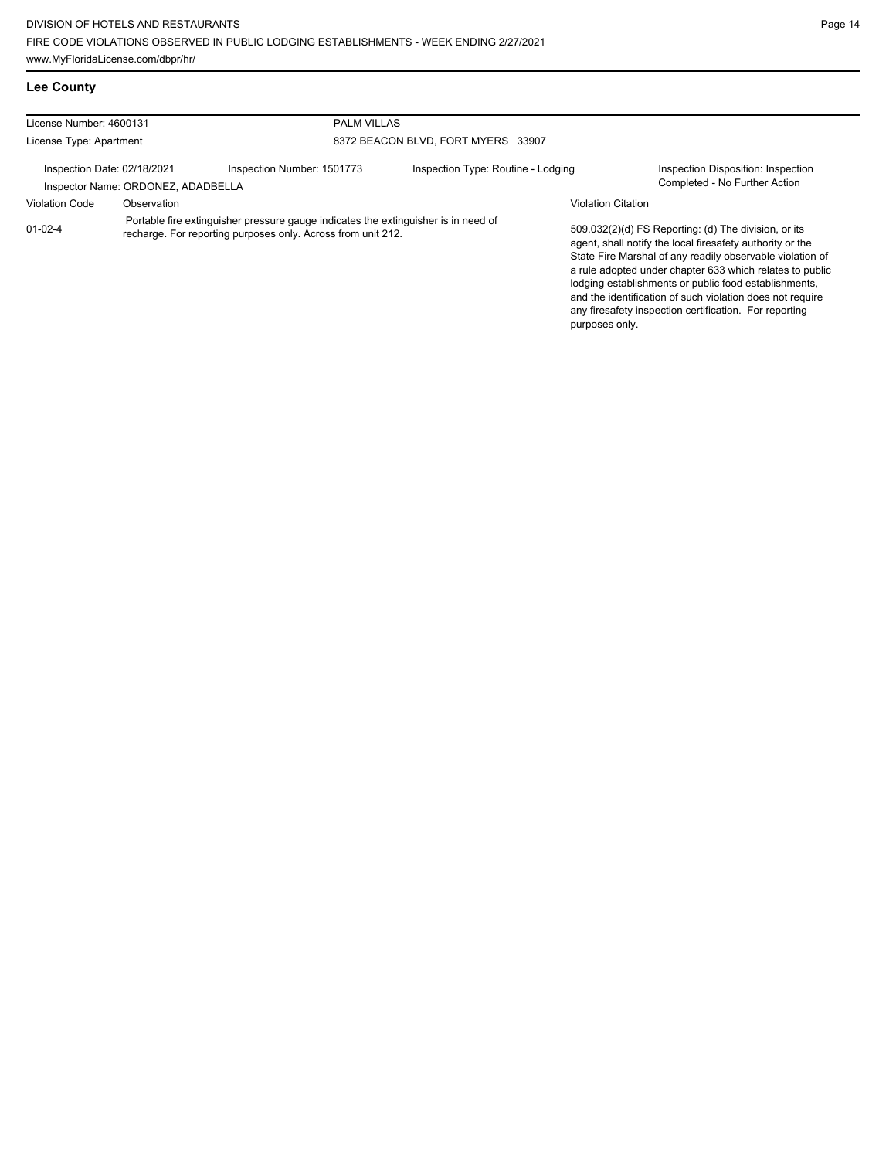any firesafety inspection certification. For reporting

| <b>Lee County</b>           |                                    |                                                                                                                                                    |                                    |                           |                                                                                                                                                                                                                                                                                                                                                                  |
|-----------------------------|------------------------------------|----------------------------------------------------------------------------------------------------------------------------------------------------|------------------------------------|---------------------------|------------------------------------------------------------------------------------------------------------------------------------------------------------------------------------------------------------------------------------------------------------------------------------------------------------------------------------------------------------------|
| License Number: 4600131     |                                    | <b>PALM VILLAS</b>                                                                                                                                 |                                    |                           |                                                                                                                                                                                                                                                                                                                                                                  |
| License Type: Apartment     |                                    |                                                                                                                                                    | 8372 BEACON BLVD, FORT MYERS 33907 |                           |                                                                                                                                                                                                                                                                                                                                                                  |
| Inspection Date: 02/18/2021 | Inspector Name: ORDONEZ, ADADBELLA | Inspection Number: 1501773                                                                                                                         | Inspection Type: Routine - Lodging |                           | Inspection Disposition: Inspection<br>Completed - No Further Action                                                                                                                                                                                                                                                                                              |
| <b>Violation Code</b>       | Observation                        |                                                                                                                                                    |                                    | <b>Violation Citation</b> |                                                                                                                                                                                                                                                                                                                                                                  |
| $01 - 02 - 4$               |                                    | Portable fire extinguisher pressure gauge indicates the extinguisher is in need of<br>recharge. For reporting purposes only. Across from unit 212. |                                    |                           | 509.032(2)(d) FS Reporting: (d) The division, or its<br>agent, shall notify the local firesafety authority or the<br>State Fire Marshal of any readily observable violation of<br>a rule adopted under chapter 633 which relates to public<br>lodging establishments or public food establishments,<br>and the identification of such violation does not require |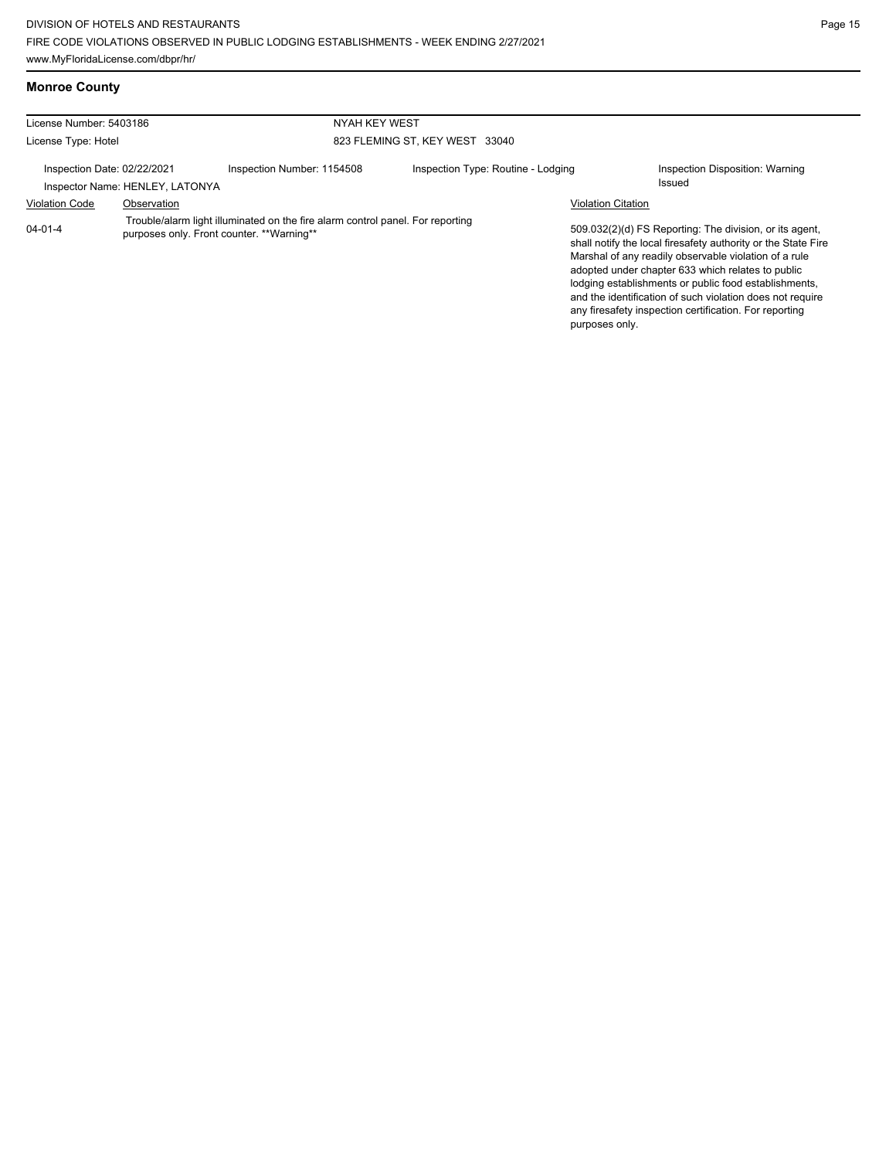| <b>Monroe County</b> |  |
|----------------------|--|
|                      |  |

| License Number: 5403186     |                                 | NYAH KEY WEST                                                                                                                |                                    |                           |                                                                                                                                                                                                                                                                                                                                                                                                                        |
|-----------------------------|---------------------------------|------------------------------------------------------------------------------------------------------------------------------|------------------------------------|---------------------------|------------------------------------------------------------------------------------------------------------------------------------------------------------------------------------------------------------------------------------------------------------------------------------------------------------------------------------------------------------------------------------------------------------------------|
| License Type: Hotel         |                                 |                                                                                                                              | 823 FLEMING ST. KEY WEST 33040     |                           |                                                                                                                                                                                                                                                                                                                                                                                                                        |
| Inspection Date: 02/22/2021 | Inspector Name: HENLEY, LATONYA | Inspection Number: 1154508                                                                                                   | Inspection Type: Routine - Lodging |                           | Inspection Disposition: Warning<br>Issued                                                                                                                                                                                                                                                                                                                                                                              |
| <b>Violation Code</b>       | Observation                     |                                                                                                                              |                                    | <b>Violation Citation</b> |                                                                                                                                                                                                                                                                                                                                                                                                                        |
| 04-01-4                     |                                 | Trouble/alarm light illuminated on the fire alarm control panel. For reporting<br>purposes only. Front counter. ** Warning** |                                    | purposes only.            | 509.032(2)(d) FS Reporting: The division, or its agent,<br>shall notify the local firesafety authority or the State Fire<br>Marshal of any readily observable violation of a rule<br>adopted under chapter 633 which relates to public<br>lodging establishments or public food establishments,<br>and the identification of such violation does not require<br>any firesafety inspection certification. For reporting |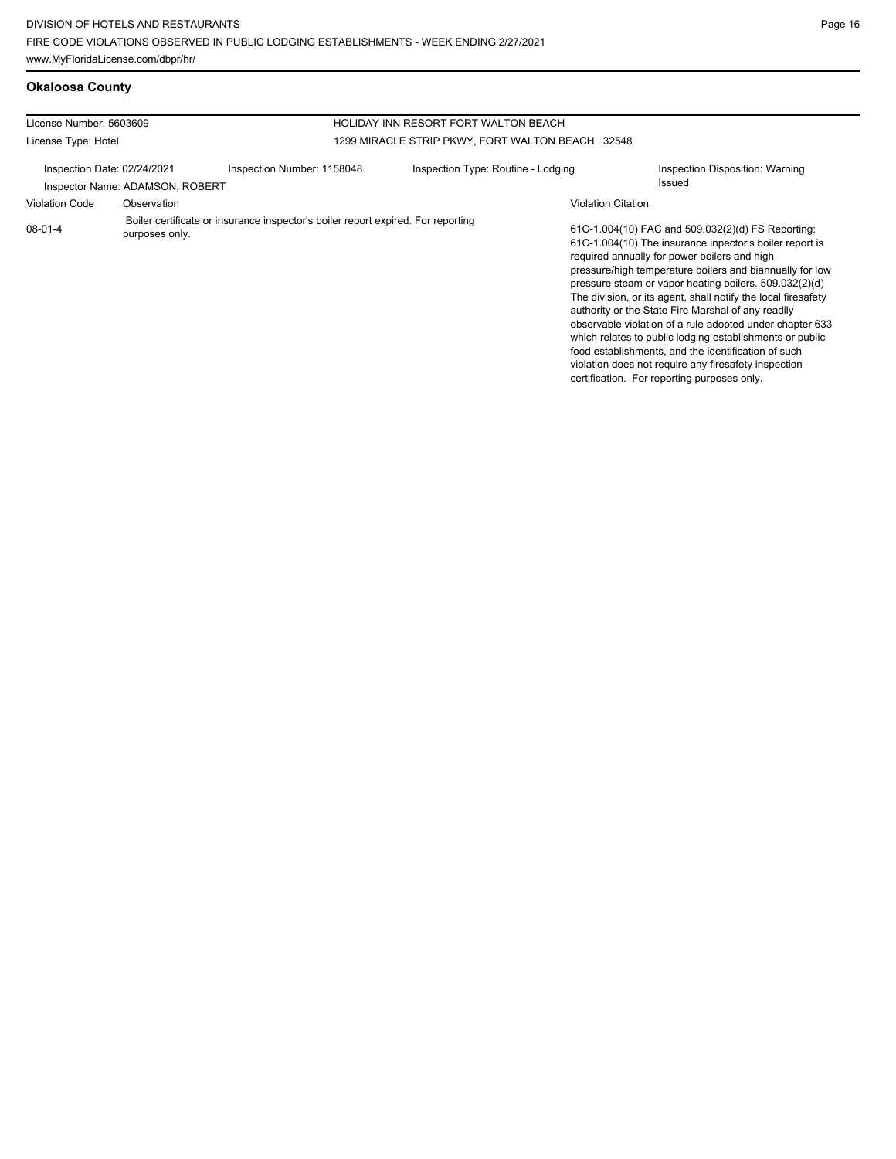# **Okaloosa County**

| License Number: 5603609                                        |                |                                                                                  | HOLIDAY INN RESORT FORT WALTON BEACH             |                           |                                                                                                                                                                                                                                                                                                                                                                                                                                                                                                                                                                                                                                                                                                 |
|----------------------------------------------------------------|----------------|----------------------------------------------------------------------------------|--------------------------------------------------|---------------------------|-------------------------------------------------------------------------------------------------------------------------------------------------------------------------------------------------------------------------------------------------------------------------------------------------------------------------------------------------------------------------------------------------------------------------------------------------------------------------------------------------------------------------------------------------------------------------------------------------------------------------------------------------------------------------------------------------|
| License Type: Hotel                                            |                |                                                                                  | 1299 MIRACLE STRIP PKWY, FORT WALTON BEACH 32548 |                           |                                                                                                                                                                                                                                                                                                                                                                                                                                                                                                                                                                                                                                                                                                 |
| Inspection Date: 02/24/2021<br>Inspector Name: ADAMSON, ROBERT |                | Inspection Number: 1158048                                                       | Inspection Type: Routine - Lodging<br>Issued     |                           | Inspection Disposition: Warning                                                                                                                                                                                                                                                                                                                                                                                                                                                                                                                                                                                                                                                                 |
| <b>Violation Code</b>                                          | Observation    |                                                                                  |                                                  | <b>Violation Citation</b> |                                                                                                                                                                                                                                                                                                                                                                                                                                                                                                                                                                                                                                                                                                 |
| $08-01-4$                                                      | purposes only. | Boiler certificate or insurance inspector's boiler report expired. For reporting |                                                  |                           | 61C-1.004(10) FAC and 509.032(2)(d) FS Reporting:<br>61C-1.004(10) The insurance inpector's boiler report is<br>required annually for power boilers and high<br>pressure/high temperature boilers and biannually for low<br>pressure steam or vapor heating boilers. 509.032(2)(d)<br>The division, or its agent, shall notify the local firesafety<br>authority or the State Fire Marshal of any readily<br>observable violation of a rule adopted under chapter 633<br>which relates to public lodging establishments or public<br>food establishments, and the identification of such<br>violation does not require any firesafety inspection<br>certification. For reporting purposes only. |
|                                                                |                |                                                                                  |                                                  |                           |                                                                                                                                                                                                                                                                                                                                                                                                                                                                                                                                                                                                                                                                                                 |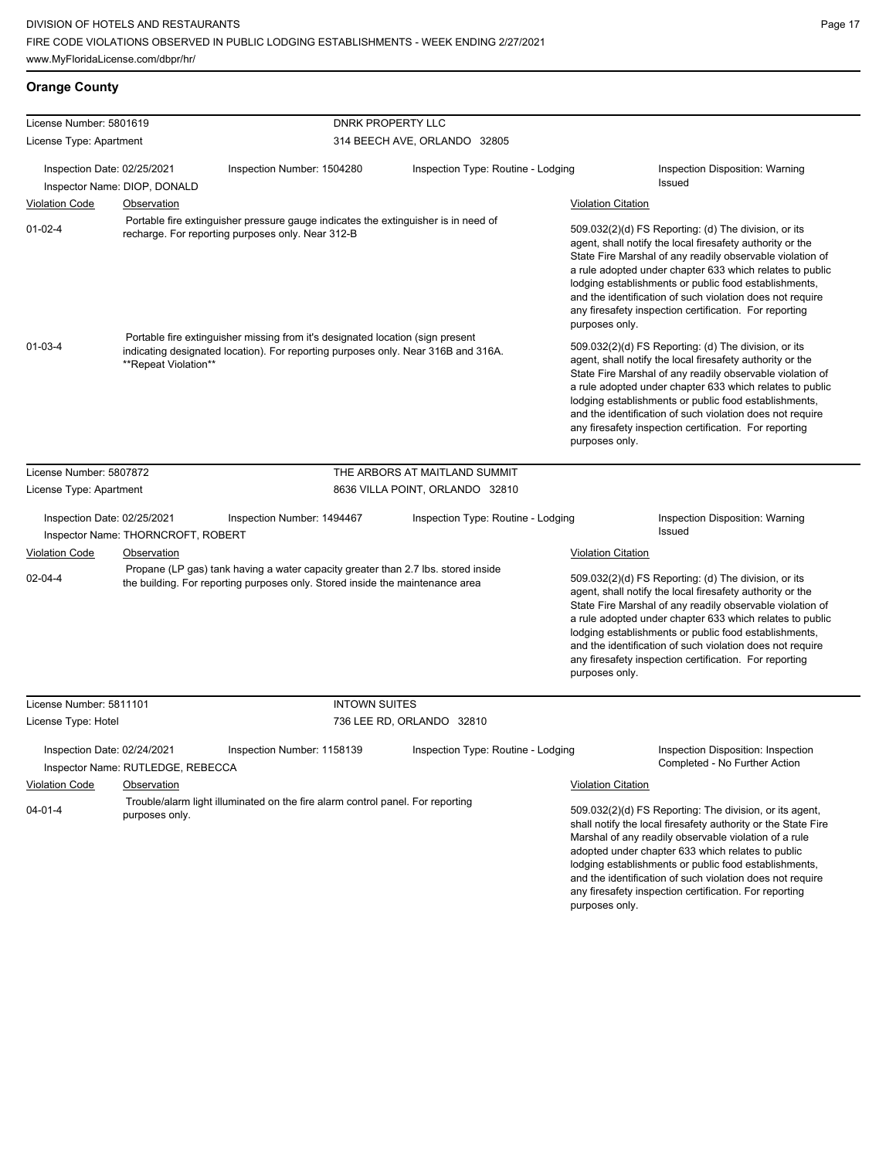# **Orange County**

| License Number: 5801619 |                                                                                 |                                                                                                                                                                     | <b>DNRK PROPERTY LLC</b>           |                                                                                                                                                                                                                                                                                                                                                                                                                                              |
|-------------------------|---------------------------------------------------------------------------------|---------------------------------------------------------------------------------------------------------------------------------------------------------------------|------------------------------------|----------------------------------------------------------------------------------------------------------------------------------------------------------------------------------------------------------------------------------------------------------------------------------------------------------------------------------------------------------------------------------------------------------------------------------------------|
| License Type: Apartment |                                                                                 |                                                                                                                                                                     | 314 BEECH AVE, ORLANDO 32805       |                                                                                                                                                                                                                                                                                                                                                                                                                                              |
|                         | Inspection Date: 02/25/2021<br>Inspector Name: DIOP, DONALD                     | Inspection Number: 1504280                                                                                                                                          | Inspection Type: Routine - Lodging | Inspection Disposition: Warning<br>Issued                                                                                                                                                                                                                                                                                                                                                                                                    |
| <b>Violation Code</b>   | Observation                                                                     |                                                                                                                                                                     |                                    | <b>Violation Citation</b>                                                                                                                                                                                                                                                                                                                                                                                                                    |
| $01 - 02 - 4$           |                                                                                 | Portable fire extinguisher pressure gauge indicates the extinguisher is in need of<br>recharge. For reporting purposes only. Near 312-B                             |                                    | 509.032(2)(d) FS Reporting: (d) The division, or its<br>agent, shall notify the local firesafety authority or the<br>State Fire Marshal of any readily observable violation of<br>a rule adopted under chapter 633 which relates to public<br>lodging establishments or public food establishments,<br>and the identification of such violation does not require<br>any firesafety inspection certification. For reporting<br>purposes only. |
| $01 - 03 - 4$           | **Repeat Violation**                                                            | Portable fire extinguisher missing from it's designated location (sign present<br>indicating designated location). For reporting purposes only. Near 316B and 316A. |                                    | 509.032(2)(d) FS Reporting: (d) The division, or its<br>agent, shall notify the local firesafety authority or the<br>State Fire Marshal of any readily observable violation of<br>a rule adopted under chapter 633 which relates to public<br>lodging establishments or public food establishments,<br>and the identification of such violation does not require<br>any firesafety inspection certification. For reporting<br>purposes only. |
| License Number: 5807872 |                                                                                 |                                                                                                                                                                     | THE ARBORS AT MAITLAND SUMMIT      |                                                                                                                                                                                                                                                                                                                                                                                                                                              |
| License Type: Apartment |                                                                                 |                                                                                                                                                                     | 8636 VILLA POINT, ORLANDO 32810    |                                                                                                                                                                                                                                                                                                                                                                                                                                              |
|                         | Inspection Date: 02/25/2021<br>Inspector Name: THORNCROFT, ROBERT               | Inspection Number: 1494467                                                                                                                                          | Inspection Type: Routine - Lodging | Inspection Disposition: Warning<br>Issued                                                                                                                                                                                                                                                                                                                                                                                                    |
| <b>Violation Code</b>   | Observation                                                                     |                                                                                                                                                                     |                                    | <b>Violation Citation</b>                                                                                                                                                                                                                                                                                                                                                                                                                    |
| $02 - 04 - 4$           |                                                                                 | Propane (LP gas) tank having a water capacity greater than 2.7 lbs. stored inside<br>the building. For reporting purposes only. Stored inside the maintenance area  |                                    | 509.032(2)(d) FS Reporting: (d) The division, or its<br>agent, shall notify the local firesafety authority or the<br>State Fire Marshal of any readily observable violation of<br>a rule adopted under chapter 633 which relates to public<br>lodging establishments or public food establishments,<br>and the identification of such violation does not require<br>any firesafety inspection certification. For reporting<br>purposes only. |
| License Number: 5811101 |                                                                                 | <b>INTOWN SUITES</b>                                                                                                                                                |                                    |                                                                                                                                                                                                                                                                                                                                                                                                                                              |
| License Type: Hotel     |                                                                                 |                                                                                                                                                                     | 736 LEE RD, ORLANDO 32810          |                                                                                                                                                                                                                                                                                                                                                                                                                                              |
| <b>Violation Code</b>   | Inspection Date: 02/24/2021<br>Inspector Name: RUTLEDGE, REBECCA<br>Observation | Inspection Number: 1158139                                                                                                                                          | Inspection Type: Routine - Lodging | Inspection Disposition: Inspection<br>Completed - No Further Action<br><b>Violation Citation</b>                                                                                                                                                                                                                                                                                                                                             |
| $04 - 01 - 4$           | purposes only.                                                                  | Trouble/alarm light illuminated on the fire alarm control panel. For reporting                                                                                      |                                    | 509.032(2)(d) FS Reporting: The division, or its agent,<br>shall notify the local firesafety authority or the State Fire<br>Marshal of any readily observable violation of a rule<br>adopted under chapter 633 which relates to public<br>lodging establishments or public food establishments,<br>and the identification of such violation does not require<br>any firesafety inspection certification. For reporting<br>purposes only.     |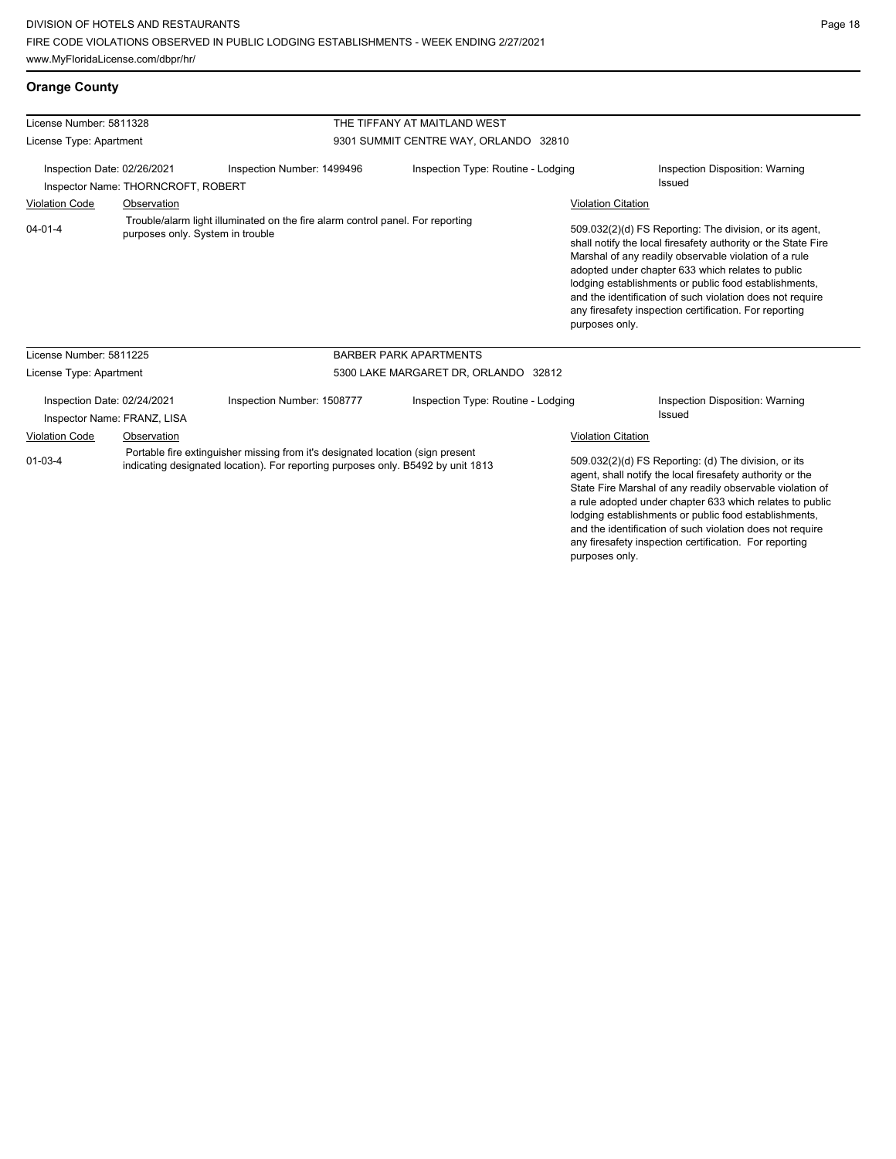any firesafety inspection certification. For reporting

| <b>Orange County</b> |
|----------------------|
|----------------------|

| License Number: 5811328                                                                                                                                                                                      |                                            |                                                                                | THE TIFFANY AT MAITLAND WEST          |                                                                                                                                                                                                                                                                                                                                                                  |                                                                                                                                                                                                                                                                                                                                                                                                                        |
|--------------------------------------------------------------------------------------------------------------------------------------------------------------------------------------------------------------|--------------------------------------------|--------------------------------------------------------------------------------|---------------------------------------|------------------------------------------------------------------------------------------------------------------------------------------------------------------------------------------------------------------------------------------------------------------------------------------------------------------------------------------------------------------|------------------------------------------------------------------------------------------------------------------------------------------------------------------------------------------------------------------------------------------------------------------------------------------------------------------------------------------------------------------------------------------------------------------------|
| License Type: Apartment                                                                                                                                                                                      |                                            |                                                                                | 9301 SUMMIT CENTRE WAY, ORLANDO 32810 |                                                                                                                                                                                                                                                                                                                                                                  |                                                                                                                                                                                                                                                                                                                                                                                                                        |
| Inspection Date: 02/26/2021<br>Inspector Name: THORNCROFT, ROBERT                                                                                                                                            |                                            | Inspection Number: 1499496                                                     | Inspection Type: Routine - Lodging    |                                                                                                                                                                                                                                                                                                                                                                  | Inspection Disposition: Warning<br><b>Issued</b>                                                                                                                                                                                                                                                                                                                                                                       |
| <b>Violation Code</b>                                                                                                                                                                                        | Observation                                |                                                                                |                                       | <b>Violation Citation</b>                                                                                                                                                                                                                                                                                                                                        |                                                                                                                                                                                                                                                                                                                                                                                                                        |
| $04 - 01 - 4$                                                                                                                                                                                                | purposes only. System in trouble           | Trouble/alarm light illuminated on the fire alarm control panel. For reporting |                                       | purposes only.                                                                                                                                                                                                                                                                                                                                                   | 509.032(2)(d) FS Reporting: The division, or its agent,<br>shall notify the local firesafety authority or the State Fire<br>Marshal of any readily observable violation of a rule<br>adopted under chapter 633 which relates to public<br>lodging establishments or public food establishments,<br>and the identification of such violation does not require<br>any firesafety inspection certification. For reporting |
| License Number: 5811225                                                                                                                                                                                      |                                            |                                                                                | <b>BARBER PARK APARTMENTS</b>         |                                                                                                                                                                                                                                                                                                                                                                  |                                                                                                                                                                                                                                                                                                                                                                                                                        |
| License Type: Apartment                                                                                                                                                                                      |                                            |                                                                                | 5300 LAKE MARGARET DR, ORLANDO 32812  |                                                                                                                                                                                                                                                                                                                                                                  |                                                                                                                                                                                                                                                                                                                                                                                                                        |
| Inspection Date: 02/24/2021                                                                                                                                                                                  | Inspector Name: FRANZ, LISA<br>Observation | Inspection Number: 1508777                                                     | Inspection Type: Routine - Lodging    | <b>Violation Citation</b>                                                                                                                                                                                                                                                                                                                                        | <b>Inspection Disposition: Warning</b><br><b>Issued</b>                                                                                                                                                                                                                                                                                                                                                                |
| <b>Violation Code</b><br>Portable fire extinguisher missing from it's designated location (sign present<br>$01 - 03 - 4$<br>indicating designated location). For reporting purposes only. B5492 by unit 1813 |                                            |                                                                                |                                       | 509.032(2)(d) FS Reporting: (d) The division, or its<br>agent, shall notify the local firesafety authority or the<br>State Fire Marshal of any readily observable violation of<br>a rule adopted under chapter 633 which relates to public<br>lodging establishments or public food establishments,<br>and the identification of such violation does not require |                                                                                                                                                                                                                                                                                                                                                                                                                        |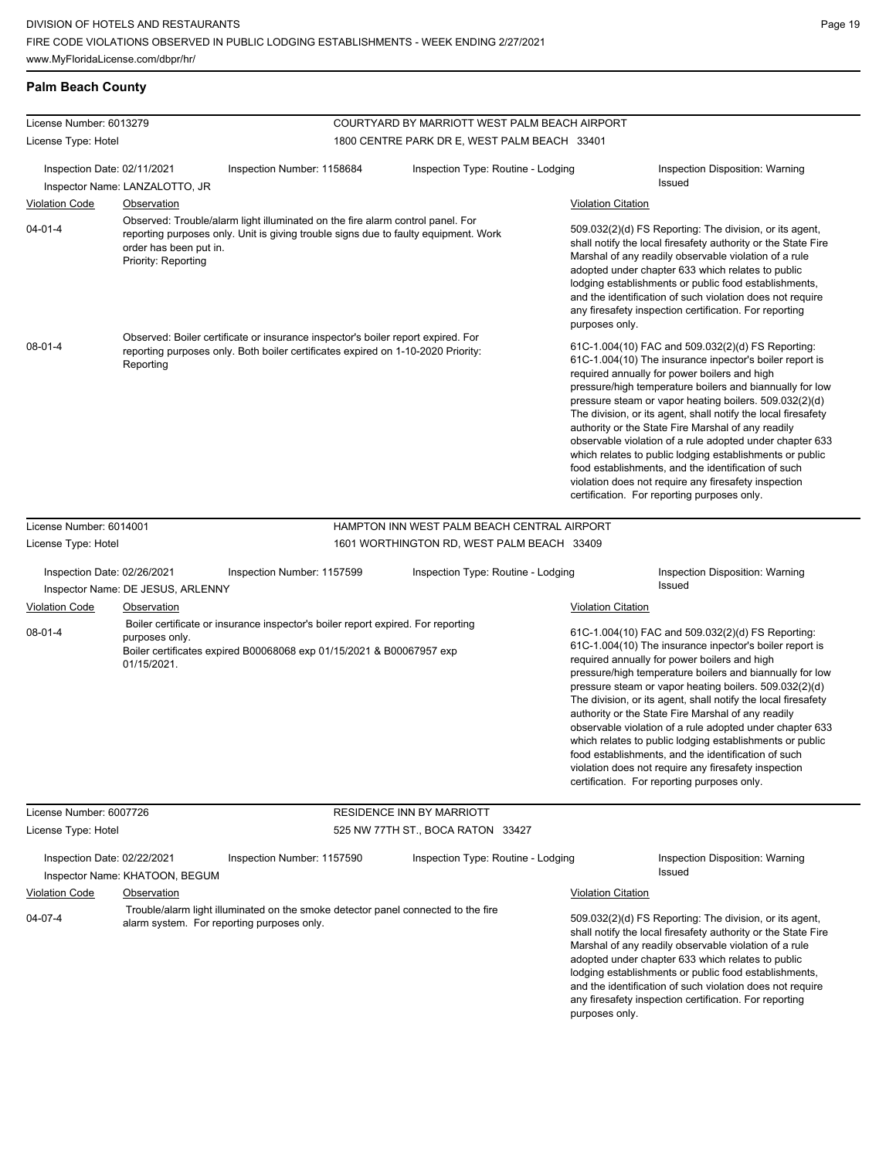# **Palm Beach County**

| License Number: 6013279     |                                               |                                                                                                                                                                       | COURTYARD BY MARRIOTT WEST PALM BEACH AIRPORT |                           |                                                                                                                                                                                                                                                                                                                                                                                                                                                                                                                                                                                                                                                                                                 |
|-----------------------------|-----------------------------------------------|-----------------------------------------------------------------------------------------------------------------------------------------------------------------------|-----------------------------------------------|---------------------------|-------------------------------------------------------------------------------------------------------------------------------------------------------------------------------------------------------------------------------------------------------------------------------------------------------------------------------------------------------------------------------------------------------------------------------------------------------------------------------------------------------------------------------------------------------------------------------------------------------------------------------------------------------------------------------------------------|
| License Type: Hotel         |                                               |                                                                                                                                                                       | 1800 CENTRE PARK DR E, WEST PALM BEACH 33401  |                           |                                                                                                                                                                                                                                                                                                                                                                                                                                                                                                                                                                                                                                                                                                 |
| Inspection Date: 02/11/2021 | Inspector Name: LANZALOTTO, JR                | Inspection Number: 1158684                                                                                                                                            | Inspection Type: Routine - Lodging            |                           | <b>Inspection Disposition: Warning</b><br>Issued                                                                                                                                                                                                                                                                                                                                                                                                                                                                                                                                                                                                                                                |
| <b>Violation Code</b>       | Observation                                   |                                                                                                                                                                       |                                               | <b>Violation Citation</b> |                                                                                                                                                                                                                                                                                                                                                                                                                                                                                                                                                                                                                                                                                                 |
| $04 - 01 - 4$               | order has been put in.<br>Priority: Reporting | Observed: Trouble/alarm light illuminated on the fire alarm control panel. For<br>reporting purposes only. Unit is giving trouble signs due to faulty equipment. Work |                                               | purposes only.            | 509.032(2)(d) FS Reporting: The division, or its agent,<br>shall notify the local firesafety authority or the State Fire<br>Marshal of any readily observable violation of a rule<br>adopted under chapter 633 which relates to public<br>lodging establishments or public food establishments,<br>and the identification of such violation does not require<br>any firesafety inspection certification. For reporting                                                                                                                                                                                                                                                                          |
| $08 - 01 - 4$               | Reporting                                     | Observed: Boiler certificate or insurance inspector's boiler report expired. For<br>reporting purposes only. Both boiler certificates expired on 1-10-2020 Priority:  |                                               |                           | 61C-1.004(10) FAC and 509.032(2)(d) FS Reporting:<br>61C-1.004(10) The insurance inpector's boiler report is<br>required annually for power boilers and high<br>pressure/high temperature boilers and biannually for low<br>pressure steam or vapor heating boilers. 509.032(2)(d)<br>The division, or its agent, shall notify the local firesafety<br>authority or the State Fire Marshal of any readily<br>observable violation of a rule adopted under chapter 633<br>which relates to public lodging establishments or public<br>food establishments, and the identification of such<br>violation does not require any firesafety inspection<br>certification. For reporting purposes only. |
| License Number: 6014001     |                                               |                                                                                                                                                                       | HAMPTON INN WEST PALM BEACH CENTRAL AIRPORT   |                           |                                                                                                                                                                                                                                                                                                                                                                                                                                                                                                                                                                                                                                                                                                 |
| License Type: Hotel         |                                               |                                                                                                                                                                       | 1601 WORTHINGTON RD, WEST PALM BEACH 33409    |                           |                                                                                                                                                                                                                                                                                                                                                                                                                                                                                                                                                                                                                                                                                                 |
| Inspection Date: 02/26/2021 | Inspector Name: DE JESUS, ARLENNY             | Inspection Number: 1157599                                                                                                                                            | Inspection Type: Routine - Lodging            |                           | Inspection Disposition: Warning<br><b>Issued</b>                                                                                                                                                                                                                                                                                                                                                                                                                                                                                                                                                                                                                                                |
| <b>Violation Code</b>       | Observation                                   |                                                                                                                                                                       |                                               | <b>Violation Citation</b> |                                                                                                                                                                                                                                                                                                                                                                                                                                                                                                                                                                                                                                                                                                 |
| $08 - 01 - 4$               | purposes only.<br>01/15/2021.                 | Boiler certificate or insurance inspector's boiler report expired. For reporting<br>Boiler certificates expired B00068068 exp 01/15/2021 & B00067957 exp              |                                               |                           | 61C-1.004(10) FAC and 509.032(2)(d) FS Reporting:<br>61C-1.004(10) The insurance inpector's boiler report is<br>required annually for power boilers and high<br>pressure/high temperature boilers and biannually for low<br>pressure steam or vapor heating boilers. 509.032(2)(d)<br>The division, or its agent, shall notify the local firesafety<br>authority or the State Fire Marshal of any readily<br>observable violation of a rule adopted under chapter 633<br>which relates to public lodging establishments or public<br>food establishments, and the identification of such<br>violation does not require any firesafety inspection<br>certification. For reporting purposes only. |
| License Number: 6007726     |                                               |                                                                                                                                                                       | RESIDENCE INN BY MARRIOTT                     |                           |                                                                                                                                                                                                                                                                                                                                                                                                                                                                                                                                                                                                                                                                                                 |
| License Type: Hotel         |                                               |                                                                                                                                                                       | 525 NW 77TH ST., BOCA RATON 33427             |                           |                                                                                                                                                                                                                                                                                                                                                                                                                                                                                                                                                                                                                                                                                                 |
| Inspection Date: 02/22/2021 | Inspector Name: KHATOON, BEGUM                | Inspection Number: 1157590                                                                                                                                            | Inspection Type: Routine - Lodging            |                           | <b>Inspection Disposition: Warning</b><br>Issued                                                                                                                                                                                                                                                                                                                                                                                                                                                                                                                                                                                                                                                |
| <b>Violation Code</b>       | Observation                                   |                                                                                                                                                                       |                                               | <b>Violation Citation</b> |                                                                                                                                                                                                                                                                                                                                                                                                                                                                                                                                                                                                                                                                                                 |
| $04 - 07 - 4$               |                                               | Trouble/alarm light illuminated on the smoke detector panel connected to the fire<br>alarm system. For reporting purposes only.                                       |                                               |                           | 509.032(2)(d) FS Reporting: The division, or its agent,<br>shall notify the local firesafety authority or the State Fire<br>Marshal of any readily observable violation of a rule<br>adopted under chapter 633 which relates to public<br>lodging establishments or public food establishments,<br>and the identification of such violation does not require                                                                                                                                                                                                                                                                                                                                    |

any firesafety inspection certification. For reporting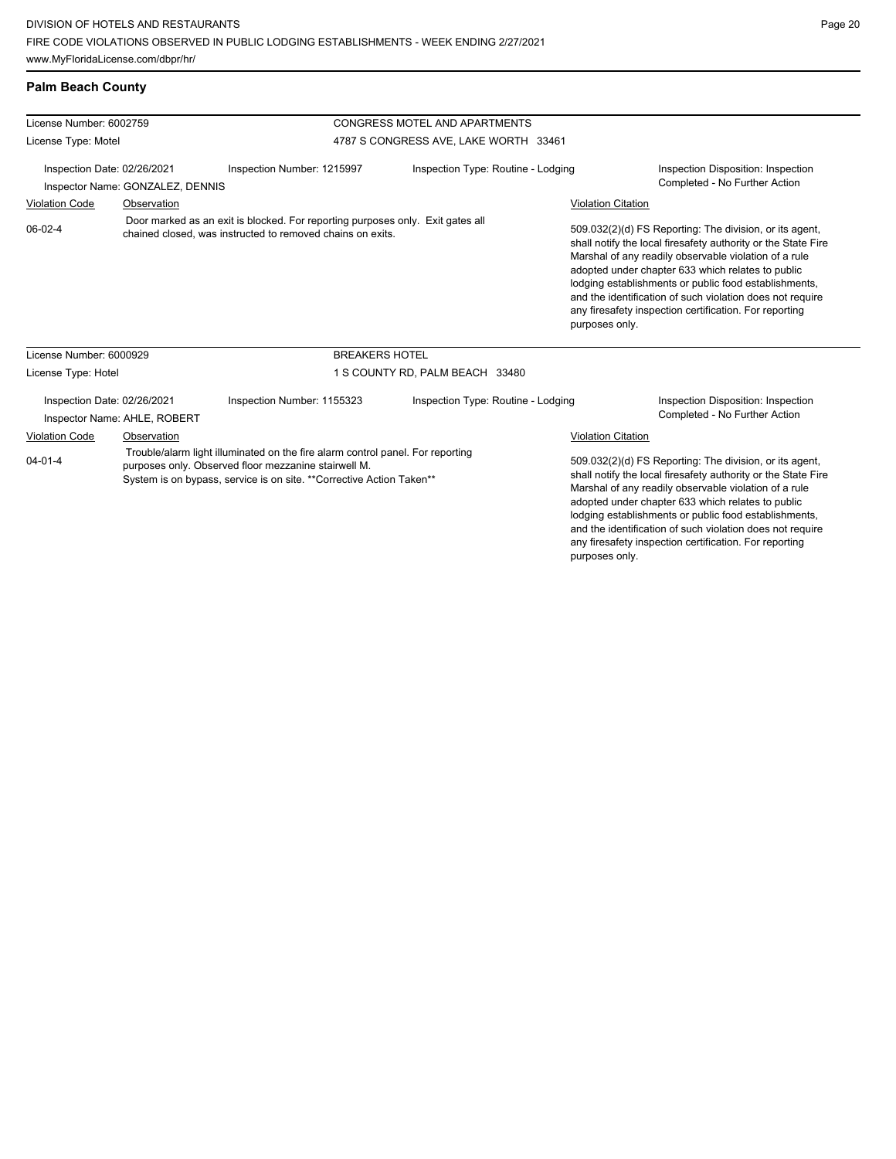| License Number: 6002759<br>License Type: Motel                  |                              |                                                                                                                                                                                                                | <b>CONGRESS MOTEL AND APARTMENTS</b>  |                                                                                                                                                                                                                                                                                                                                                                                                                                          |                                                                                                                                                                                                                                                                                                                                                                                                                                          |  |
|-----------------------------------------------------------------|------------------------------|----------------------------------------------------------------------------------------------------------------------------------------------------------------------------------------------------------------|---------------------------------------|------------------------------------------------------------------------------------------------------------------------------------------------------------------------------------------------------------------------------------------------------------------------------------------------------------------------------------------------------------------------------------------------------------------------------------------|------------------------------------------------------------------------------------------------------------------------------------------------------------------------------------------------------------------------------------------------------------------------------------------------------------------------------------------------------------------------------------------------------------------------------------------|--|
|                                                                 |                              |                                                                                                                                                                                                                | 4787 S CONGRESS AVE, LAKE WORTH 33461 |                                                                                                                                                                                                                                                                                                                                                                                                                                          |                                                                                                                                                                                                                                                                                                                                                                                                                                          |  |
| Inspection Date: 02/26/2021<br>Inspector Name: GONZALEZ, DENNIS |                              | Inspection Number: 1215997                                                                                                                                                                                     | Inspection Type: Routine - Lodging    |                                                                                                                                                                                                                                                                                                                                                                                                                                          | Inspection Disposition: Inspection<br>Completed - No Further Action                                                                                                                                                                                                                                                                                                                                                                      |  |
| <b>Violation Code</b><br>Observation                            |                              |                                                                                                                                                                                                                |                                       |                                                                                                                                                                                                                                                                                                                                                                                                                                          | <b>Violation Citation</b>                                                                                                                                                                                                                                                                                                                                                                                                                |  |
| $06-02-4$                                                       |                              | Door marked as an exit is blocked. For reporting purposes only. Exit gates all<br>chained closed, was instructed to removed chains on exits.                                                                   |                                       |                                                                                                                                                                                                                                                                                                                                                                                                                                          | 509.032(2)(d) FS Reporting: The division, or its agent,<br>shall notify the local firesafety authority or the State Fire<br>Marshal of any readily observable violation of a rule<br>adopted under chapter 633 which relates to public<br>lodging establishments or public food establishments,<br>and the identification of such violation does not require<br>any firesafety inspection certification. For reporting<br>purposes only. |  |
| License Number: 6000929                                         |                              | <b>BREAKERS HOTEL</b>                                                                                                                                                                                          |                                       |                                                                                                                                                                                                                                                                                                                                                                                                                                          |                                                                                                                                                                                                                                                                                                                                                                                                                                          |  |
| License Type: Hotel                                             |                              |                                                                                                                                                                                                                | 1 S COUNTY RD, PALM BEACH 33480       |                                                                                                                                                                                                                                                                                                                                                                                                                                          |                                                                                                                                                                                                                                                                                                                                                                                                                                          |  |
| Inspection Date: 02/26/2021                                     | Inspector Name: AHLE, ROBERT | Inspection Number: 1155323                                                                                                                                                                                     | Inspection Type: Routine - Lodging    |                                                                                                                                                                                                                                                                                                                                                                                                                                          | Inspection Disposition: Inspection<br>Completed - No Further Action                                                                                                                                                                                                                                                                                                                                                                      |  |
| <b>Violation Code</b>                                           | Observation                  |                                                                                                                                                                                                                |                                       | <b>Violation Citation</b>                                                                                                                                                                                                                                                                                                                                                                                                                |                                                                                                                                                                                                                                                                                                                                                                                                                                          |  |
| $04 - 01 - 4$                                                   |                              | Trouble/alarm light illuminated on the fire alarm control panel. For reporting<br>purposes only. Observed floor mezzanine stairwell M.<br>System is on bypass, service is on site. **Corrective Action Taken** |                                       | 509.032(2)(d) FS Reporting: The division, or its agent,<br>shall notify the local firesafety authority or the State Fire<br>Marshal of any readily observable violation of a rule<br>adopted under chapter 633 which relates to public<br>lodging establishments or public food establishments,<br>and the identification of such violation does not require<br>any firesafety inspection certification. For reporting<br>purposes only. |                                                                                                                                                                                                                                                                                                                                                                                                                                          |  |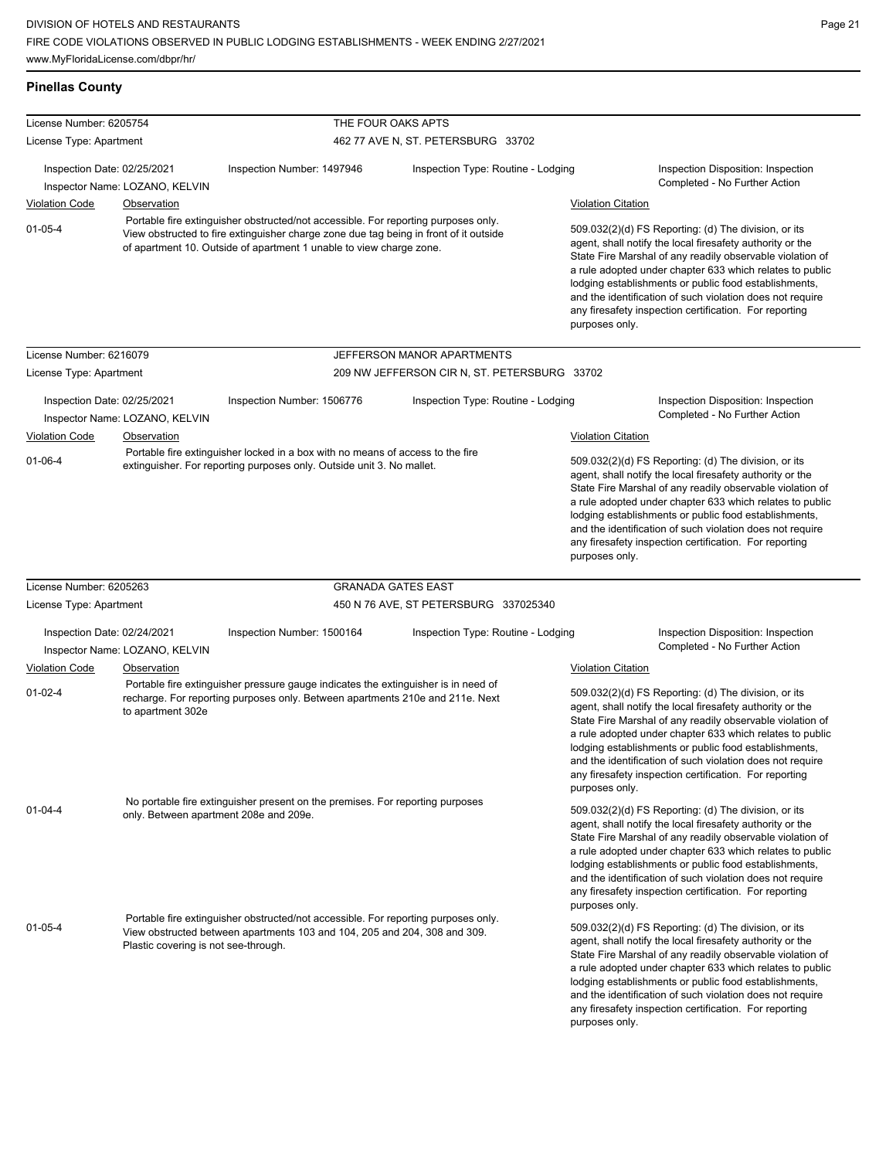| <b>Pinellas County</b>      |                                                                                                                                                                                                                                                    |                                                                                                                                                                     |                                              |                                                                                                                                                                                                                                                                                                                                                                                                                                              |                                                                                                                                                                                                                                                                                                                                                                                                                            |
|-----------------------------|----------------------------------------------------------------------------------------------------------------------------------------------------------------------------------------------------------------------------------------------------|---------------------------------------------------------------------------------------------------------------------------------------------------------------------|----------------------------------------------|----------------------------------------------------------------------------------------------------------------------------------------------------------------------------------------------------------------------------------------------------------------------------------------------------------------------------------------------------------------------------------------------------------------------------------------------|----------------------------------------------------------------------------------------------------------------------------------------------------------------------------------------------------------------------------------------------------------------------------------------------------------------------------------------------------------------------------------------------------------------------------|
| License Number: 6205754     |                                                                                                                                                                                                                                                    | THE FOUR OAKS APTS                                                                                                                                                  |                                              |                                                                                                                                                                                                                                                                                                                                                                                                                                              |                                                                                                                                                                                                                                                                                                                                                                                                                            |
| License Type: Apartment     |                                                                                                                                                                                                                                                    |                                                                                                                                                                     | 462 77 AVE N, ST. PETERSBURG 33702           |                                                                                                                                                                                                                                                                                                                                                                                                                                              |                                                                                                                                                                                                                                                                                                                                                                                                                            |
| Inspection Date: 02/25/2021 |                                                                                                                                                                                                                                                    | Inspection Number: 1497946                                                                                                                                          | Inspection Type: Routine - Lodging           |                                                                                                                                                                                                                                                                                                                                                                                                                                              | Inspection Disposition: Inspection                                                                                                                                                                                                                                                                                                                                                                                         |
|                             | Inspector Name: LOZANO, KELVIN                                                                                                                                                                                                                     |                                                                                                                                                                     |                                              |                                                                                                                                                                                                                                                                                                                                                                                                                                              | Completed - No Further Action                                                                                                                                                                                                                                                                                                                                                                                              |
| <b>Violation Code</b>       | <b>Observation</b>                                                                                                                                                                                                                                 |                                                                                                                                                                     |                                              | <b>Violation Citation</b>                                                                                                                                                                                                                                                                                                                                                                                                                    |                                                                                                                                                                                                                                                                                                                                                                                                                            |
| $01 - 05 - 4$               | Portable fire extinguisher obstructed/not accessible. For reporting purposes only.<br>View obstructed to fire extinguisher charge zone due tag being in front of it outside<br>of apartment 10. Outside of apartment 1 unable to view charge zone. |                                                                                                                                                                     |                                              | 509.032(2)(d) FS Reporting: (d) The division, or its<br>agent, shall notify the local firesafety authority or the<br>State Fire Marshal of any readily observable violation of<br>a rule adopted under chapter 633 which relates to public<br>lodging establishments or public food establishments,<br>and the identification of such violation does not require<br>any firesafety inspection certification. For reporting<br>purposes only. |                                                                                                                                                                                                                                                                                                                                                                                                                            |
| License Number: 6216079     |                                                                                                                                                                                                                                                    |                                                                                                                                                                     | JEFFERSON MANOR APARTMENTS                   |                                                                                                                                                                                                                                                                                                                                                                                                                                              |                                                                                                                                                                                                                                                                                                                                                                                                                            |
| License Type: Apartment     |                                                                                                                                                                                                                                                    |                                                                                                                                                                     | 209 NW JEFFERSON CIR N, ST. PETERSBURG 33702 |                                                                                                                                                                                                                                                                                                                                                                                                                                              |                                                                                                                                                                                                                                                                                                                                                                                                                            |
| Inspection Date: 02/25/2021 |                                                                                                                                                                                                                                                    | Inspection Number: 1506776                                                                                                                                          | Inspection Type: Routine - Lodging           |                                                                                                                                                                                                                                                                                                                                                                                                                                              | Inspection Disposition: Inspection<br>Completed - No Further Action                                                                                                                                                                                                                                                                                                                                                        |
| <b>Violation Code</b>       | Inspector Name: LOZANO, KELVIN<br>Observation                                                                                                                                                                                                      |                                                                                                                                                                     |                                              |                                                                                                                                                                                                                                                                                                                                                                                                                                              |                                                                                                                                                                                                                                                                                                                                                                                                                            |
|                             |                                                                                                                                                                                                                                                    | Portable fire extinguisher locked in a box with no means of access to the fire                                                                                      |                                              | <b>Violation Citation</b>                                                                                                                                                                                                                                                                                                                                                                                                                    |                                                                                                                                                                                                                                                                                                                                                                                                                            |
| $01 - 06 - 4$               |                                                                                                                                                                                                                                                    | extinguisher. For reporting purposes only. Outside unit 3. No mallet.                                                                                               |                                              | 509.032(2)(d) FS Reporting: (d) The division, or its<br>agent, shall notify the local firesafety authority or the<br>State Fire Marshal of any readily observable violation of<br>a rule adopted under chapter 633 which relates to public<br>lodging establishments or public food establishments,<br>and the identification of such violation does not require<br>any firesafety inspection certification. For reporting<br>purposes only. |                                                                                                                                                                                                                                                                                                                                                                                                                            |
| License Number: 6205263     |                                                                                                                                                                                                                                                    |                                                                                                                                                                     | <b>GRANADA GATES EAST</b>                    |                                                                                                                                                                                                                                                                                                                                                                                                                                              |                                                                                                                                                                                                                                                                                                                                                                                                                            |
| License Type: Apartment     |                                                                                                                                                                                                                                                    |                                                                                                                                                                     | 450 N 76 AVE, ST PETERSBURG 337025340        |                                                                                                                                                                                                                                                                                                                                                                                                                                              |                                                                                                                                                                                                                                                                                                                                                                                                                            |
| Inspection Date: 02/24/2021 | Inspector Name: LOZANO, KELVIN                                                                                                                                                                                                                     | Inspection Number: 1500164                                                                                                                                          | Inspection Type: Routine - Lodging           |                                                                                                                                                                                                                                                                                                                                                                                                                                              | Inspection Disposition: Inspection<br>Completed - No Further Action                                                                                                                                                                                                                                                                                                                                                        |
| <b>Violation Code</b>       | Observation                                                                                                                                                                                                                                        |                                                                                                                                                                     |                                              | <b>Violation Citation</b>                                                                                                                                                                                                                                                                                                                                                                                                                    |                                                                                                                                                                                                                                                                                                                                                                                                                            |
| $01 - 02 - 4$               | to apartment 302e                                                                                                                                                                                                                                  | Portable fire extinguisher pressure gauge indicates the extinguisher is in need of<br>recharge. For reporting purposes only. Between apartments 210e and 211e. Next |                                              | purposes only.                                                                                                                                                                                                                                                                                                                                                                                                                               | 509.032(2)(d) FS Reporting: (d) The division, or its<br>agent, shall notify the local firesafety authority or the<br>State Fire Marshal of any readily observable violation of<br>a rule adopted under chapter 633 which relates to public<br>lodging establishments or public food establishments,<br>and the identification of such violation does not require<br>any firesafety inspection certification. For reporting |
| $01 - 04 - 4$               | only. Between apartment 208e and 209e.                                                                                                                                                                                                             | No portable fire extinguisher present on the premises. For reporting purposes                                                                                       |                                              | purposes only.                                                                                                                                                                                                                                                                                                                                                                                                                               | 509.032(2)(d) FS Reporting: (d) The division, or its<br>agent, shall notify the local firesafety authority or the<br>State Fire Marshal of any readily observable violation of<br>a rule adopted under chapter 633 which relates to public<br>lodging establishments or public food establishments,<br>and the identification of such violation does not require<br>any firesafety inspection certification. For reporting |
| $01 - 05 - 4$               | Plastic covering is not see-through.                                                                                                                                                                                                               | Portable fire extinguisher obstructed/not accessible. For reporting purposes only.<br>View obstructed between apartments 103 and 104, 205 and 204, 308 and 309.     |                                              | purposes only.                                                                                                                                                                                                                                                                                                                                                                                                                               | 509.032(2)(d) FS Reporting: (d) The division, or its<br>agent, shall notify the local firesafety authority or the<br>State Fire Marshal of any readily observable violation of<br>a rule adopted under chapter 633 which relates to public<br>lodging establishments or public food establishments,<br>and the identification of such violation does not require<br>any firesafety inspection certification. For reporting |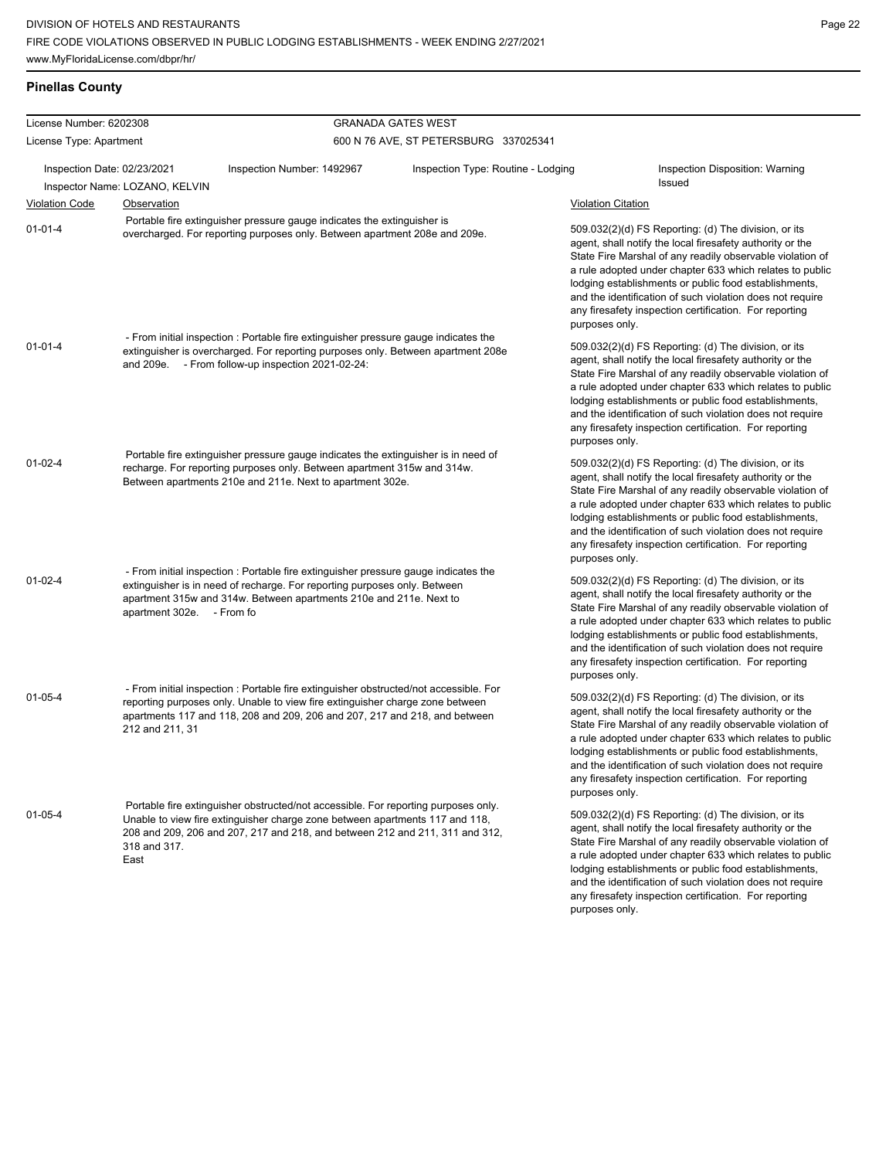| <b>Pinellas County</b> |  |
|------------------------|--|
|------------------------|--|

| License Number: 6202308     |                                |                                                                                                                                                                                                                                                      | <b>GRANADA GATES WEST</b>             |                                                                                                                                                                                                                                                                                                                                                                                                                                              |  |  |  |
|-----------------------------|--------------------------------|------------------------------------------------------------------------------------------------------------------------------------------------------------------------------------------------------------------------------------------------------|---------------------------------------|----------------------------------------------------------------------------------------------------------------------------------------------------------------------------------------------------------------------------------------------------------------------------------------------------------------------------------------------------------------------------------------------------------------------------------------------|--|--|--|
| License Type: Apartment     |                                |                                                                                                                                                                                                                                                      | 600 N 76 AVE, ST PETERSBURG 337025341 |                                                                                                                                                                                                                                                                                                                                                                                                                                              |  |  |  |
| Inspection Date: 02/23/2021 | Inspector Name: LOZANO, KELVIN | Inspection Number: 1492967                                                                                                                                                                                                                           | Inspection Type: Routine - Lodging    | Inspection Disposition: Warning<br>Issued                                                                                                                                                                                                                                                                                                                                                                                                    |  |  |  |
| <b>Violation Code</b>       | <b>Observation</b>             |                                                                                                                                                                                                                                                      |                                       | <b>Violation Citation</b>                                                                                                                                                                                                                                                                                                                                                                                                                    |  |  |  |
| $01 - 01 - 4$               |                                | Portable fire extinguisher pressure gauge indicates the extinguisher is<br>overcharged. For reporting purposes only. Between apartment 208e and 209e.<br>- From initial inspection : Portable fire extinguisher pressure gauge indicates the         |                                       | 509.032(2)(d) FS Reporting: (d) The division, or its<br>agent, shall notify the local firesafety authority or the<br>State Fire Marshal of any readily observable violation of<br>a rule adopted under chapter 633 which relates to public<br>lodging establishments or public food establishments,<br>and the identification of such violation does not require<br>any firesafety inspection certification. For reporting<br>purposes only. |  |  |  |
| $01 - 01 - 4$               |                                | extinguisher is overcharged. For reporting purposes only. Between apartment 208e<br>and 209e. - From follow-up inspection 2021-02-24:                                                                                                                |                                       | 509.032(2)(d) FS Reporting: (d) The division, or its<br>agent, shall notify the local firesafety authority or the<br>State Fire Marshal of any readily observable violation of<br>a rule adopted under chapter 633 which relates to public<br>lodging establishments or public food establishments,<br>and the identification of such violation does not require<br>any firesafety inspection certification. For reporting<br>purposes only. |  |  |  |
| $01 - 02 - 4$               |                                | Portable fire extinguisher pressure gauge indicates the extinguisher is in need of<br>recharge. For reporting purposes only. Between apartment 315w and 314w.<br>Between apartments 210e and 211e. Next to apartment 302e.                           |                                       | 509.032(2)(d) FS Reporting: (d) The division, or its<br>agent, shall notify the local firesafety authority or the<br>State Fire Marshal of any readily observable violation of<br>a rule adopted under chapter 633 which relates to public<br>lodging establishments or public food establishments,<br>and the identification of such violation does not require<br>any firesafety inspection certification. For reporting<br>purposes only. |  |  |  |
| $01 - 02 - 4$               | apartment 302e. - From fo      | - From initial inspection : Portable fire extinguisher pressure gauge indicates the<br>extinguisher is in need of recharge. For reporting purposes only. Between<br>apartment 315w and 314w. Between apartments 210e and 211e. Next to               |                                       | 509.032(2)(d) FS Reporting: (d) The division, or its<br>agent, shall notify the local firesafety authority or the<br>State Fire Marshal of any readily observable violation of<br>a rule adopted under chapter 633 which relates to public<br>lodging establishments or public food establishments,<br>and the identification of such violation does not require<br>any firesafety inspection certification. For reporting<br>purposes only. |  |  |  |
| $01 - 05 - 4$               | 212 and 211, 31                | - From initial inspection : Portable fire extinguisher obstructed/not accessible. For<br>reporting purposes only. Unable to view fire extinguisher charge zone between<br>apartments 117 and 118, 208 and 209, 206 and 207, 217 and 218, and between |                                       | 509.032(2)(d) FS Reporting: (d) The division, or its<br>agent, shall notify the local firesafety authority or the<br>State Fire Marshal of any readily observable violation of<br>a rule adopted under chapter 633 which relates to public<br>lodging establishments or public food establishments,<br>and the identification of such violation does not require<br>any firesafety inspection certification. For reporting<br>purposes only. |  |  |  |
| $01 - 05 - 4$               | 318 and 317.<br>East           | Portable fire extinguisher obstructed/not accessible. For reporting purposes only.<br>Unable to view fire extinguisher charge zone between apartments 117 and 118,<br>208 and 209, 206 and 207, 217 and 218, and between 212 and 211, 311 and 312,   |                                       | 509.032(2)(d) FS Reporting: (d) The division, or its<br>agent, shall notify the local firesafety authority or the<br>State Fire Marshal of any readily observable violation of<br>a rule adopted under chapter 633 which relates to public<br>lodging establishments or public food establishments,<br>and the identification of such violation does not require<br>any firesafety inspection certification. For reporting<br>purposes only. |  |  |  |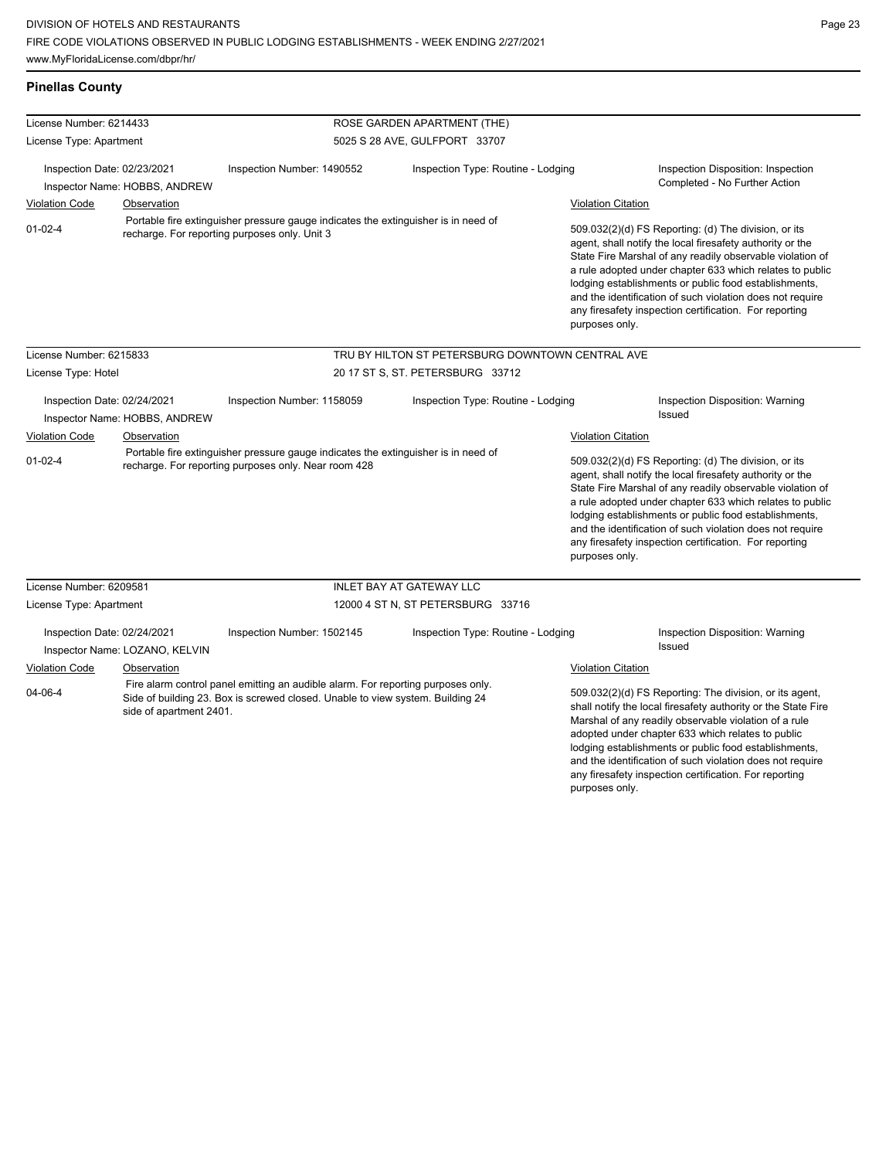**Pinellas County**

any firesafety inspection certification. For reporting

| License Number: 6214433                                      |                                                                                                                                            |                                                                                                                                                                    | ROSE GARDEN APARTMENT (THE)                                                                                                                                                                                                                                                                                                                                                                                                                  |                                                                                                                                                                                                                                                                                                                                                              |                                                                                                                       |
|--------------------------------------------------------------|--------------------------------------------------------------------------------------------------------------------------------------------|--------------------------------------------------------------------------------------------------------------------------------------------------------------------|----------------------------------------------------------------------------------------------------------------------------------------------------------------------------------------------------------------------------------------------------------------------------------------------------------------------------------------------------------------------------------------------------------------------------------------------|--------------------------------------------------------------------------------------------------------------------------------------------------------------------------------------------------------------------------------------------------------------------------------------------------------------------------------------------------------------|-----------------------------------------------------------------------------------------------------------------------|
| License Type: Apartment                                      |                                                                                                                                            |                                                                                                                                                                    | 5025 S 28 AVE, GULFPORT 33707                                                                                                                                                                                                                                                                                                                                                                                                                |                                                                                                                                                                                                                                                                                                                                                              |                                                                                                                       |
| Inspection Date: 02/23/2021<br>Inspector Name: HOBBS, ANDREW |                                                                                                                                            | Inspection Number: 1490552                                                                                                                                         | Inspection Type: Routine - Lodging                                                                                                                                                                                                                                                                                                                                                                                                           |                                                                                                                                                                                                                                                                                                                                                              | Inspection Disposition: Inspection<br>Completed - No Further Action                                                   |
| <b>Violation Code</b>                                        | Observation                                                                                                                                |                                                                                                                                                                    |                                                                                                                                                                                                                                                                                                                                                                                                                                              | <b>Violation Citation</b>                                                                                                                                                                                                                                                                                                                                    |                                                                                                                       |
| $01 - 02 - 4$                                                |                                                                                                                                            | Portable fire extinguisher pressure gauge indicates the extinguisher is in need of<br>recharge. For reporting purposes only. Unit 3                                | 509.032(2)(d) FS Reporting: (d) The division, or its<br>agent, shall notify the local firesafety authority or the<br>lodging establishments or public food establishments,<br>and the identification of such violation does not require<br>any firesafety inspection certification. For reporting<br>purposes only.                                                                                                                          |                                                                                                                                                                                                                                                                                                                                                              | State Fire Marshal of any readily observable violation of<br>a rule adopted under chapter 633 which relates to public |
| License Number: 6215833                                      |                                                                                                                                            |                                                                                                                                                                    | TRU BY HILTON ST PETERSBURG DOWNTOWN CENTRAL AVE                                                                                                                                                                                                                                                                                                                                                                                             |                                                                                                                                                                                                                                                                                                                                                              |                                                                                                                       |
| License Type: Hotel                                          |                                                                                                                                            |                                                                                                                                                                    | 20 17 ST S, ST. PETERSBURG 33712                                                                                                                                                                                                                                                                                                                                                                                                             |                                                                                                                                                                                                                                                                                                                                                              |                                                                                                                       |
| Inspection Date: 02/24/2021<br>Inspector Name: HOBBS, ANDREW |                                                                                                                                            | Inspection Number: 1158059                                                                                                                                         | Inspection Type: Routine - Lodging                                                                                                                                                                                                                                                                                                                                                                                                           |                                                                                                                                                                                                                                                                                                                                                              | Inspection Disposition: Warning<br>Issued                                                                             |
| Violation Code                                               | Observation                                                                                                                                |                                                                                                                                                                    |                                                                                                                                                                                                                                                                                                                                                                                                                                              | <b>Violation Citation</b>                                                                                                                                                                                                                                                                                                                                    |                                                                                                                       |
| $01 - 02 - 4$                                                | Portable fire extinguisher pressure gauge indicates the extinguisher is in need of<br>recharge. For reporting purposes only. Near room 428 |                                                                                                                                                                    | 509.032(2)(d) FS Reporting: (d) The division, or its<br>agent, shall notify the local firesafety authority or the<br>State Fire Marshal of any readily observable violation of<br>a rule adopted under chapter 633 which relates to public<br>lodging establishments or public food establishments,<br>and the identification of such violation does not require<br>any firesafety inspection certification. For reporting<br>purposes only. |                                                                                                                                                                                                                                                                                                                                                              |                                                                                                                       |
| License Number: 6209581                                      |                                                                                                                                            |                                                                                                                                                                    | <b>INLET BAY AT GATEWAY LLC</b>                                                                                                                                                                                                                                                                                                                                                                                                              |                                                                                                                                                                                                                                                                                                                                                              |                                                                                                                       |
| License Type: Apartment                                      |                                                                                                                                            | 12000 4 ST N, ST PETERSBURG 33716                                                                                                                                  |                                                                                                                                                                                                                                                                                                                                                                                                                                              |                                                                                                                                                                                                                                                                                                                                                              |                                                                                                                       |
| Inspection Date: 02/24/2021                                  | Inspector Name: LOZANO, KELVIN                                                                                                             | Inspection Number: 1502145                                                                                                                                         | Inspection Type: Routine - Lodging                                                                                                                                                                                                                                                                                                                                                                                                           |                                                                                                                                                                                                                                                                                                                                                              | Inspection Disposition: Warning<br>Issued                                                                             |
| <b>Violation Code</b>                                        | Observation                                                                                                                                |                                                                                                                                                                    |                                                                                                                                                                                                                                                                                                                                                                                                                                              | <b>Violation Citation</b>                                                                                                                                                                                                                                                                                                                                    |                                                                                                                       |
| 04-06-4<br>side of apartment 2401.                           |                                                                                                                                            | Fire alarm control panel emitting an audible alarm. For reporting purposes only.<br>Side of building 23. Box is screwed closed. Unable to view system. Building 24 |                                                                                                                                                                                                                                                                                                                                                                                                                                              | 509.032(2)(d) FS Reporting: The division, or its agent,<br>shall notify the local firesafety authority or the State Fire<br>Marshal of any readily observable violation of a rule<br>adopted under chapter 633 which relates to public<br>lodging establishments or public food establishments,<br>and the identification of such violation does not require |                                                                                                                       |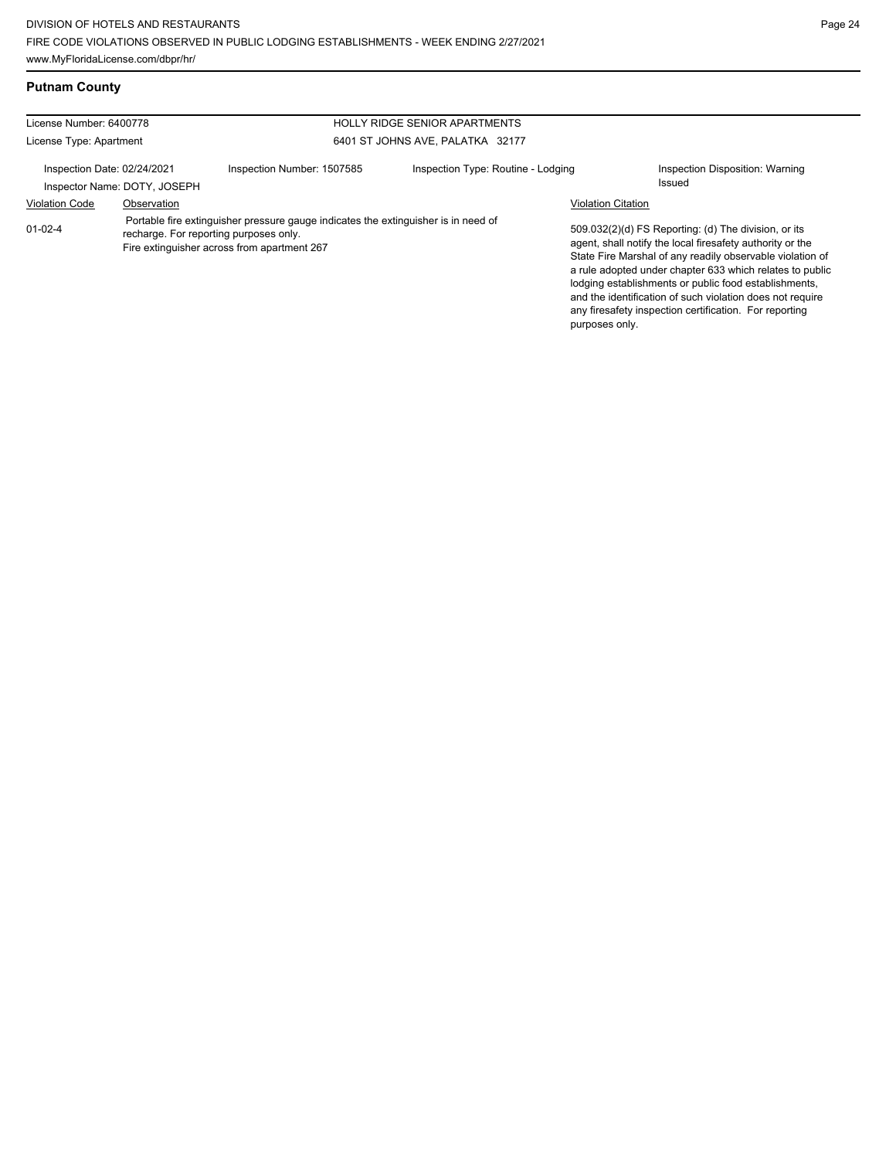**Putnam County**

| License Number: 6400778                                     |             |                                                                                                                                                                             | <b>HOLLY RIDGE SENIOR APARTMENTS</b> |                           |                                                                                                                                                                                                                                                                                                                                                                                                                            |
|-------------------------------------------------------------|-------------|-----------------------------------------------------------------------------------------------------------------------------------------------------------------------------|--------------------------------------|---------------------------|----------------------------------------------------------------------------------------------------------------------------------------------------------------------------------------------------------------------------------------------------------------------------------------------------------------------------------------------------------------------------------------------------------------------------|
| License Type: Apartment                                     |             |                                                                                                                                                                             | 6401 ST JOHNS AVE, PALATKA 32177     |                           |                                                                                                                                                                                                                                                                                                                                                                                                                            |
| Inspection Date: 02/24/2021<br>Inspector Name: DOTY, JOSEPH |             | Inspection Number: 1507585                                                                                                                                                  | Inspection Type: Routine - Lodging   |                           | Inspection Disposition: Warning<br><b>Issued</b>                                                                                                                                                                                                                                                                                                                                                                           |
| <b>Violation Code</b>                                       | Observation |                                                                                                                                                                             |                                      | <b>Violation Citation</b> |                                                                                                                                                                                                                                                                                                                                                                                                                            |
| $01 - 02 - 4$                                               |             | Portable fire extinguisher pressure gauge indicates the extinguisher is in need of<br>recharge. For reporting purposes only.<br>Fire extinguisher across from apartment 267 |                                      | purposes only.            | 509.032(2)(d) FS Reporting: (d) The division, or its<br>agent, shall notify the local firesafety authority or the<br>State Fire Marshal of any readily observable violation of<br>a rule adopted under chapter 633 which relates to public<br>lodging establishments or public food establishments,<br>and the identification of such violation does not require<br>any firesafety inspection certification. For reporting |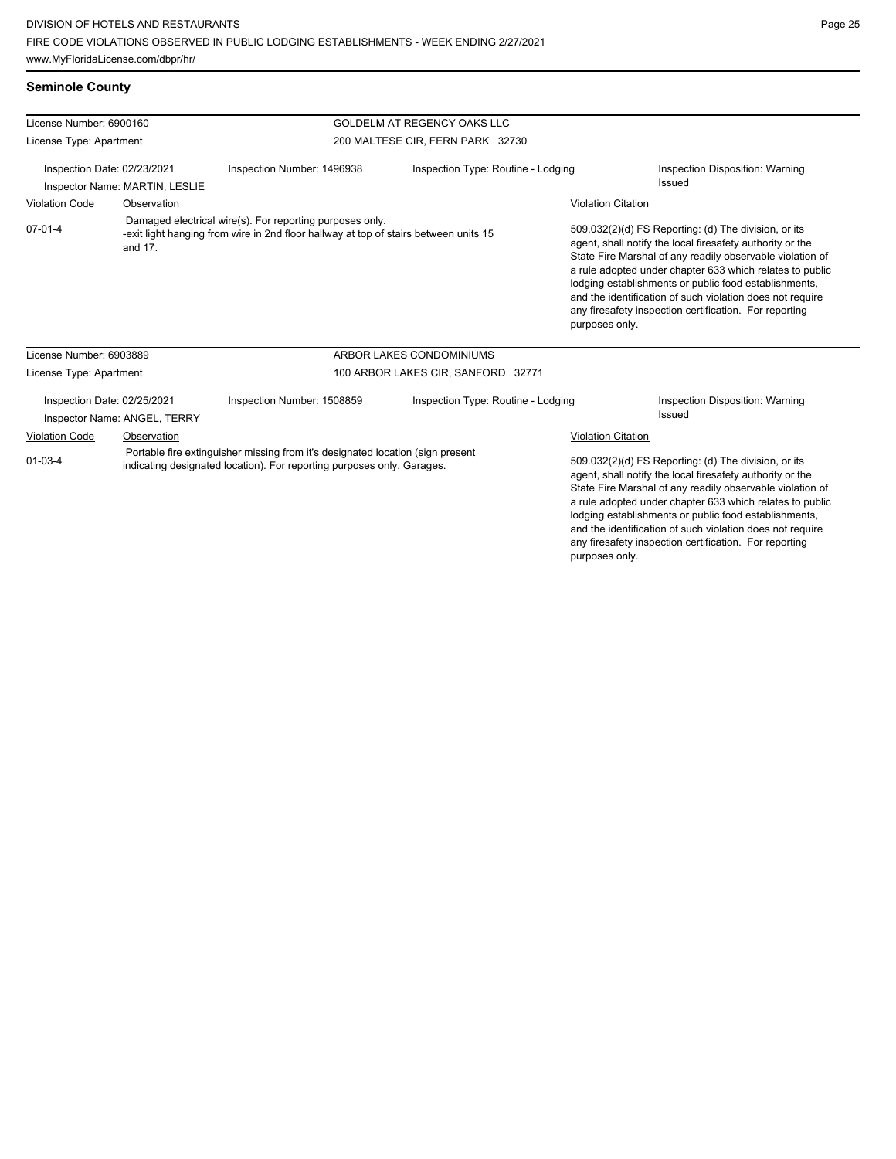# **Seminole County**

| License Number: 6900160                                       |                                                                                                                                                             |                                    | GOLDELM AT REGENCY OAKS LLC                                                                                                                              |                           |                                                                                                                                                                                                                                                                                                                                                                                                                                              |  |  |
|---------------------------------------------------------------|-------------------------------------------------------------------------------------------------------------------------------------------------------------|------------------------------------|----------------------------------------------------------------------------------------------------------------------------------------------------------|---------------------------|----------------------------------------------------------------------------------------------------------------------------------------------------------------------------------------------------------------------------------------------------------------------------------------------------------------------------------------------------------------------------------------------------------------------------------------------|--|--|
| License Type: Apartment                                       |                                                                                                                                                             |                                    | 200 MALTESE CIR, FERN PARK 32730                                                                                                                         |                           |                                                                                                                                                                                                                                                                                                                                                                                                                                              |  |  |
| Inspection Date: 02/23/2021<br>Inspector Name: MARTIN, LESLIE |                                                                                                                                                             | Inspection Number: 1496938         | Inspection Type: Routine - Lodging                                                                                                                       |                           | Inspection Disposition: Warning<br>Issued                                                                                                                                                                                                                                                                                                                                                                                                    |  |  |
| <b>Violation Code</b><br>Observation                          |                                                                                                                                                             |                                    |                                                                                                                                                          | <b>Violation Citation</b> |                                                                                                                                                                                                                                                                                                                                                                                                                                              |  |  |
| $07 - 01 - 4$                                                 | Damaged electrical wire(s). For reporting purposes only.<br>-exit light hanging from wire in 2nd floor hallway at top of stairs between units 15<br>and 17. |                                    |                                                                                                                                                          |                           | 509.032(2)(d) FS Reporting: (d) The division, or its<br>agent, shall notify the local firesafety authority or the<br>State Fire Marshal of any readily observable violation of<br>a rule adopted under chapter 633 which relates to public<br>lodging establishments or public food establishments,<br>and the identification of such violation does not require<br>any firesafety inspection certification. For reporting<br>purposes only. |  |  |
| License Number: 6903889                                       |                                                                                                                                                             |                                    | ARBOR LAKES CONDOMINIUMS                                                                                                                                 |                           |                                                                                                                                                                                                                                                                                                                                                                                                                                              |  |  |
| License Type: Apartment                                       |                                                                                                                                                             | 100 ARBOR LAKES CIR, SANFORD 32771 |                                                                                                                                                          |                           |                                                                                                                                                                                                                                                                                                                                                                                                                                              |  |  |
| Inspection Date: 02/25/2021<br>Inspector Name: ANGEL, TERRY   |                                                                                                                                                             | Inspection Number: 1508859         | Inspection Type: Routine - Lodging                                                                                                                       |                           | Inspection Disposition: Warning<br>Issued                                                                                                                                                                                                                                                                                                                                                                                                    |  |  |
| <b>Violation Code</b>                                         | Observation                                                                                                                                                 |                                    |                                                                                                                                                          | <b>Violation Citation</b> |                                                                                                                                                                                                                                                                                                                                                                                                                                              |  |  |
| $01 - 03 - 4$                                                 |                                                                                                                                                             |                                    | Portable fire extinguisher missing from it's designated location (sign present<br>indicating designated location). For reporting purposes only. Garages. |                           | 509.032(2)(d) FS Reporting: (d) The division, or its<br>agent, shall notify the local firesafety authority or the<br>State Fire Marshal of any readily observable violation of<br>a rule adopted under chapter 633 which relates to public<br>lodging establishments or public food establishments,<br>and the identification of such violation does not require<br>any firesafety inspection certification. For reporting<br>purposes only. |  |  |